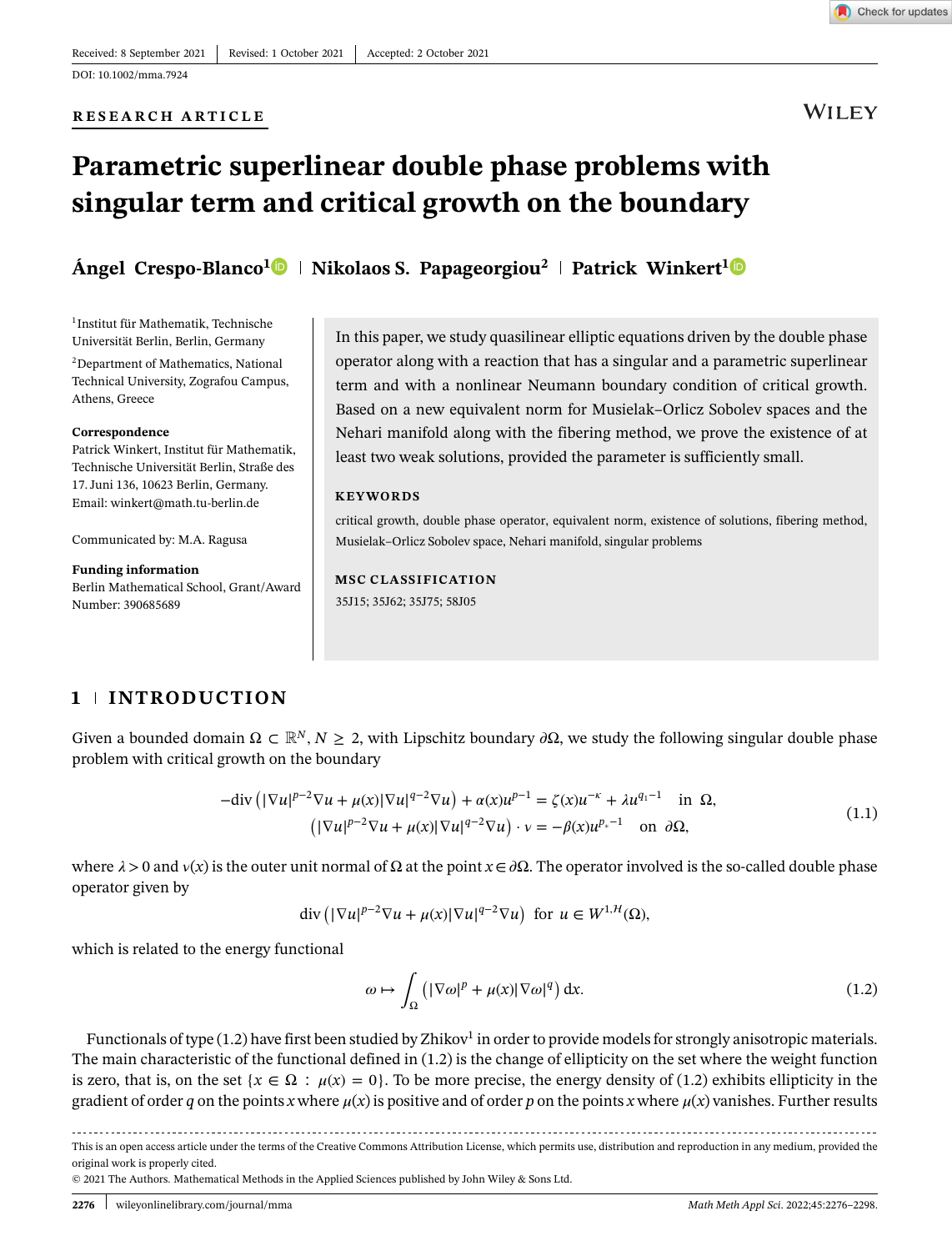Check for updates

# **RESEARCH ARTICLE**

# **WILEY**

# **Parametric superlinear double phase problems with singular term and critical growth on the boundary**

**Ángel Crespo-Blanco[1](https://orcid.org/0000-0002-8117-4912) Nikolaos S. Papageorgiou<sup>2</sup> Patrick Winkert[1](https://orcid.org/0000-0003-0320-7026)**

1Institut für Mathematik, Technische Universität Berlin, Berlin, Germany

2Department of Mathematics, National Technical University, Zografou Campus, Athens, Greece

### **Correspondence**

Patrick Winkert, Institut für Mathematik, Technische Universität Berlin, Straße des 17. Juni 136, 10623 Berlin, Germany. Email: winkert@math.tu-berlin.de

Communicated by: M.A. Ragusa

### **Funding information**

Berlin Mathematical School, Grant/Award Number: 390685689

In this paper, we study quasilinear elliptic equations driven by the double phase operator along with a reaction that has a singular and a parametric superlinear term and with a nonlinear Neumann boundary condition of critical growth. Based on a new equivalent norm for Musielak–Orlicz Sobolev spaces and the Nehari manifold along with the fibering method, we prove the existence of at least two weak solutions, provided the parameter is sufficiently small.

### **KEYWORDS**

critical growth, double phase operator, equivalent norm, existence of solutions, fibering method, Musielak–Orlicz Sobolev space, Nehari manifold, singular problems

# **MSC CLASSIFICATION**

35J15; 35J62; 35J75; 58J05

# **1 INTRODUCTION**

Given a bounded domain  $\Omega \subset \mathbb{R}^N$ ,  $N \geq 2$ , with Lipschitz boundary  $\partial \Omega$ , we study the following singular double phase problem with critical growth on the boundary

$$
-\text{div}\left(|\nabla u|^{p-2}\nabla u + \mu(x)|\nabla u|^{q-2}\nabla u\right) + \alpha(x)u^{p-1} = \zeta(x)u^{-\kappa} + \lambda u^{q-1} \quad \text{in } \Omega,
$$
  

$$
\left(|\nabla u|^{p-2}\nabla u + \mu(x)|\nabla u|^{q-2}\nabla u\right) \cdot v = -\beta(x)u^{p-1} \quad \text{on } \partial\Omega,
$$
 (1.1)

where  $\lambda > 0$  and  $v(x)$  is the outer unit normal of  $\Omega$  at the point  $x \in \partial \Omega$ . The operator involved is the so-called double phase operator given by

$$
\operatorname{div}\left(|\nabla u|^{p-2}\nabla u + \mu(x)|\nabla u|^{q-2}\nabla u\right) \text{ for } u \in W^{1,H}(\Omega),
$$

which is related to the energy functional

$$
\omega \mapsto \int_{\Omega} \left( |\nabla \omega|^p + \mu(x) |\nabla \omega|^q \right) dx. \tag{1.2}
$$

Functionals of type  $(1.2)$  have first been studied by Zhikov<sup>1</sup> in order to provide models for strongly anisotropic materials. The main characteristic of the functional defined in (1.2) is the change of ellipticity on the set where the weight function is zero, that is, on the set  $\{x \in \Omega : \mu(x) = 0\}$ . To be more precise, the energy density of (1.2) exhibits ellipticity in the gradient of order *q* on the points *x* where  $\mu(x)$  is positive and of order *p* on the points *x* where  $\mu(x)$  vanishes. Further results

This is an open access article under the terms of the Creative Commons Attribution License, which permits use, distribution and reproduction in any medium, provided the original work is properly cited.

© 2021 The Authors. Mathematical Methods in the Applied Sciences published by John Wiley & Sons Ltd.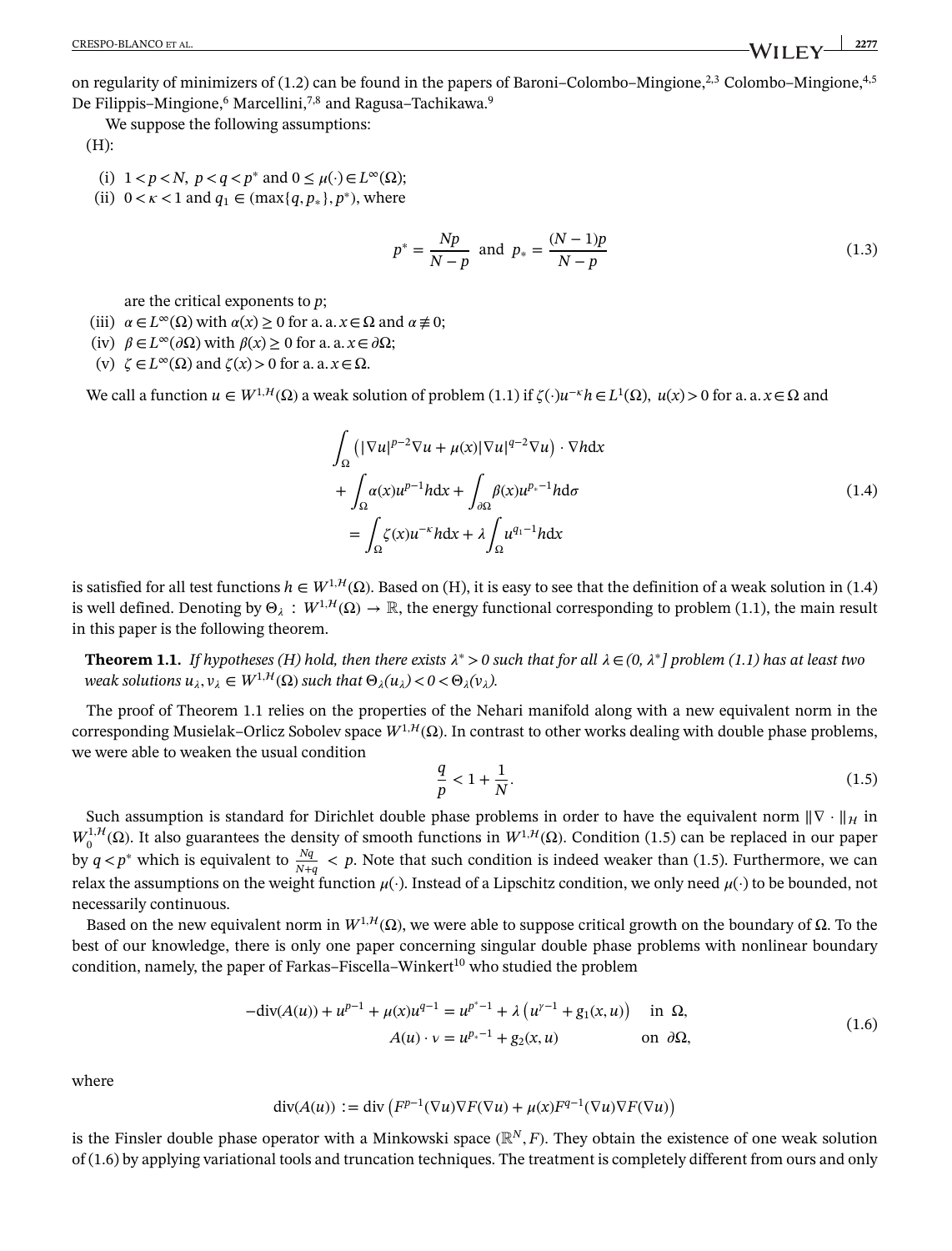on regularity of minimizers of (1.2) can be found in the papers of Baroni–Colombo–Mingione,<sup>2,3</sup> Colombo–Mingione,<sup>4,5</sup> De Filippis–Mingione,<sup>6</sup> Marcellini,<sup>7,8</sup> and Ragusa–Tachikawa.<sup>9</sup>

We suppose the following assumptions:

(H):

- (i)  $1 < p < N$ ,  $p < q < p^*$  and  $0 \leq \mu(\cdot) \in L^\infty(\Omega)$ ;
- (ii)  $0 < \kappa < 1$  and  $q_1 \in (\max\{q, p_*\}, p^*)$ , where

$$
p^* = \frac{Np}{N-p} \text{ and } p_* = \frac{(N-1)p}{N-p}
$$
 (1.3)

are the critical exponents to *p*;

- (iii)  $\alpha \in L^{\infty}(\Omega)$  with  $\alpha(x) \ge 0$  for a. a.  $x \in \Omega$  and  $\alpha \ne 0$ ;
- (iv)  $\beta \in L^{\infty}(\partial \Omega)$  with  $\beta(x) \ge 0$  for a. a.  $x \in \partial \Omega$ ;
- (v)  $\zeta \in L^{\infty}(\Omega)$  and  $\zeta(x) > 0$  for a. a.  $x \in \Omega$ .

We call a function  $u \in W^{1,H}(\Omega)$  a weak solution of problem (1.1) if  $\zeta(\cdot)u^{-\kappa}h \in L^1(\Omega)$ ,  $u(x) > 0$  for a. a.  $x \in \Omega$  and

$$
\int_{\Omega} \left( |\nabla u|^{p-2} \nabla u + \mu(x) |\nabla u|^{q-2} \nabla u \right) \cdot \nabla h dx
$$
\n
$$
+ \int_{\Omega} \alpha(x) u^{p-1} h dx + \int_{\partial \Omega} \beta(x) u^{p_{*}-1} h d\sigma
$$
\n
$$
= \int_{\Omega} \zeta(x) u^{-\kappa} h dx + \lambda \int_{\Omega} u^{q_{1}-1} h dx
$$
\n(1.4)

is satisfied for all test functions  $h \in W^{1,H}(\Omega)$ . Based on (H), it is easy to see that the definition of a weak solution in (1.4) is well defined. Denoting by  $\Theta_{\lambda}: W^{1,H}(\Omega) \to \mathbb{R}$ , the energy functional corresponding to problem (1.1), the main result in this paper is the following theorem.

<span id="page-1-0"></span>**Theorem [1.1.](#page-1-0)** *If hypotheses (H) hold, then there exists*  $\lambda^* > 0$  such that for all  $\lambda \in (0, \lambda^*]$  problem (1.1) has at least two *weak solutions*  $u_{\lambda}, v_{\lambda} \in W^{1, \mathcal{H}}(\Omega)$  *such that*  $\Theta_{\lambda}(u_{\lambda}) < 0 < \Theta_{\lambda}(v_{\lambda})$ .

The proof of Theorem 1.1 relies on the properties of the Nehari manifold along with a new equivalent norm in the corresponding Musielak–Orlicz Sobolev space  $W^{1,1}(\Omega)$ . In contrast to other works dealing with double phase problems, we were able to weaken the usual condition

$$
\frac{q}{p} < 1 + \frac{1}{N}.\tag{1.5}
$$

Such assumption is standard for Dirichlet double phase problems in order to have the equivalent norm  $\|\nabla \cdot\|_{\mathcal{H}}$  in  $W_0^{1, H}$ (Ω). It also guarantees the density of smooth functions in  $W^{1, H}$ (Ω). Condition (1.5) can be replaced in our paper by  $q < p^*$  which is equivalent to  $\frac{Nq}{N+q} < p$ . Note that such condition is indeed weaker than (1.5). Furthermore, we can relax the assumptions on the weight function  $\mu(\cdot)$ . Instead of a Lipschitz condition, we only need  $\mu(\cdot)$  to be bounded, not necessarily continuous.

Based on the new equivalent norm in  $W^{1,H}(\Omega)$ , we were able to suppose critical growth on the boundary of Ω. To the best of our knowledge, there is only one paper concerning singular double phase problems with nonlinear boundary condition, namely, the paper of Farkas–Fiscella–Winkert<sup>10</sup> who studied the problem

$$
-div(A(u)) + u^{p-1} + \mu(x)u^{q-1} = u^{p^*-1} + \lambda(u^{r-1} + g_1(x, u)) \text{ in } \Omega,
$$
  
\n
$$
A(u) \cdot v = u^{p_*-1} + g_2(x, u) \text{ on } \partial\Omega,
$$
\n(1.6)

where

$$
\operatorname{div}(A(u)) := \operatorname{div}\left(F^{p-1}(\nabla u)\nabla F(\nabla u) + \mu(x)F^{q-1}(\nabla u)\nabla F(\nabla u)\right)
$$

is the Finsler double phase operator with a Minkowski space  $(\mathbb{R}^N, F)$ . They obtain the existence of one weak solution of (1.6) by applying variational tools and truncation techniques. The treatment is completely different from ours and only

CRESPO-BLANCO ET AL. **2277**<br> **CRESPO-BLANCO ET AL.** 2277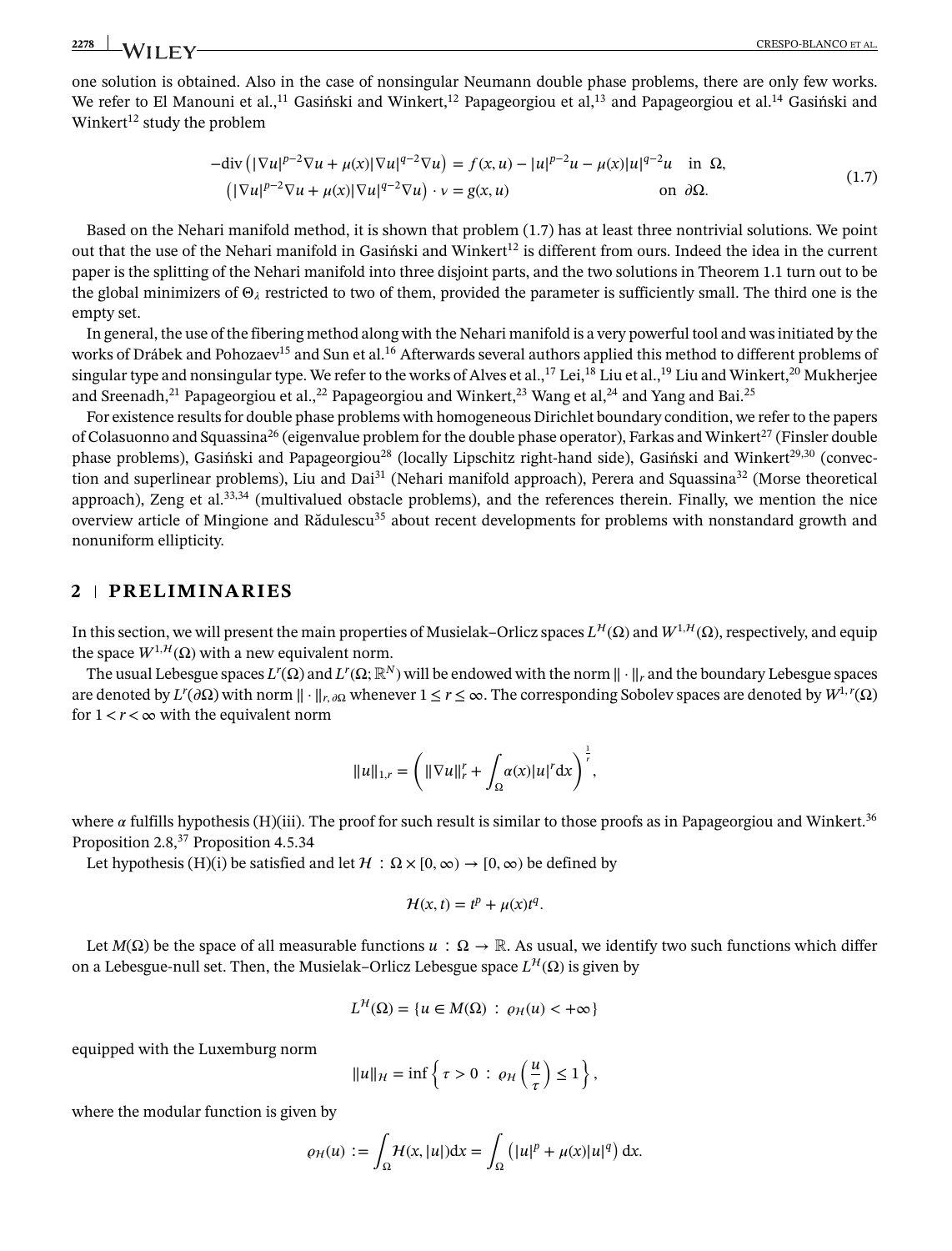one solution is obtained. Also in the case of nonsingular Neumann double phase problems, there are only few works. We refer to El Manouni et al.,<sup>11</sup> Gasiński and Winkert,<sup>12</sup> Papageorgiou et al,<sup>13</sup> and Papageorgiou et al.<sup>14</sup> Gasiński and Winkert<sup>12</sup> study the problem

$$
-\text{div}\left(|\nabla u|^{p-2}\nabla u + \mu(x)|\nabla u|^{q-2}\nabla u\right) = f(x, u) - |u|^{p-2}u - \mu(x)|u|^{q-2}u \quad \text{in } \Omega,
$$
  
\n
$$
\left(|\nabla u|^{p-2}\nabla u + \mu(x)|\nabla u|^{q-2}\nabla u\right) \cdot v = g(x, u) \qquad \text{on } \partial\Omega.
$$
 (1.7)

Based on the Nehari manifold method, it is shown that problem (1.7) has at least three nontrivial solutions. We point out that the use of the Nehari manifold in Gasiński and Winkert<sup>12</sup> is different from ours. Indeed the idea in the current paper is the splitting of the Nehari manifold into three disjoint parts, and the two solutions in Theorem 1.1 turn out to be the global minimizers of  $\Theta_{\lambda}$  restricted to two of them, provided the parameter is sufficiently small. The third one is the empty set.

In general, the use of the fibering method along with the Nehari manifold is a very powerful tool and was initiated by the works of Drábek and Pohozaev<sup>15</sup> and Sun et al.<sup>16</sup> Afterwards several authors applied this method to different problems of singular type and nonsingular type. We refer to the works of Alves et al.,<sup>17</sup> Lei,<sup>18</sup> Liu et al.,<sup>19</sup> Liu and Winkert,<sup>20</sup> Mukherjee and Sreenadh,<sup>21</sup> Papageorgiou et al.,<sup>22</sup> Papageorgiou and Winkert,<sup>23</sup> Wang et al,<sup>24</sup> and Yang and Bai.<sup>25</sup>

For existence results for double phase problems with homogeneous Dirichlet boundary condition, we refer to the papers of Colasuonno and Squassina<sup>26</sup> (eigenvalue problem for the double phase operator), Farkas and Winkert<sup>27</sup> (Finsler double phase problems), Gasiński and Papageorgiou<sup>28</sup> (locally Lipschitz right-hand side), Gasiński and Winkert<sup>29,30</sup> (convection and superlinear problems), Liu and Dai<sup>31</sup> (Nehari manifold approach), Perera and Squassina<sup>32</sup> (Morse theoretical approach), Zeng et al. $33,34$  (multivalued obstacle problems), and the references therein. Finally, we mention the nice overview article of Mingione and Rădulescu<sup>35</sup> about recent developments for problems with nonstandard growth and nonuniform ellipticity.

## **2 PRELIMINARIES**

In this section, we will present the main properties of Musielak–Orlicz spaces  $L^{\mathcal{H}}(\Omega)$  and  $W^{1,\mathcal{H}}(\Omega)$ , respectively, and equip the space  $W^{1,H}(\Omega)$  with a new equivalent norm.

The usual Lebesgue spaces  $L^r(\Omega)$  and  $L^r(\Omega; \mathbb{R}^N)$  will be endowed with the norm  $|| \cdot ||_r$  and the boundary Lebesgue spaces  $\mathbb{R}^N$  and  $L^r(\Omega)$  and  $L^r(\Omega)$  and  $L^r(\Omega)$ are denoted by  $L^r(\partial\Omega)$  with norm  $\|\cdot\|_{r,\partial\Omega}$  whenever  $1 \leq r \leq \infty$ . The corresponding Sobolev spaces are denoted by  $W^{1,r}(\Omega)$ for  $1 < r < \infty$  with the equivalent norm

$$
||u||_{1,r} = \left(||\nabla u||_r^r + \int_{\Omega} \alpha(x)|u|^r dx\right)^{\frac{1}{r}},
$$

where  $\alpha$  fulfills hypothesis (H)(iii). The proof for such result is similar to those proofs as in Papageorgiou and Winkert.<sup>36</sup> Proposition 2.8,<sup>37</sup> Proposition 4.5.34

Let hypothesis (H)(i) be satisfied and let  $\mathcal{H}$  :  $\Omega \times [0, \infty) \to [0, \infty)$  be defined by

$$
\mathcal{H}(x,t) = t^p + \mu(x)t^q.
$$

Let  $M(\Omega)$  be the space of all measurable functions  $u : \Omega \to \mathbb{R}$ . As usual, we identify two such functions which differ on a Lebesgue-null set. Then, the Musielak–Orlicz Lebesgue space  $L^{\mathcal{H}}(\Omega)$  is given by

$$
L^{\mathcal{H}}(\Omega) = \{ u \in M(\Omega) \, : \, \varrho_{\mathcal{H}}(u) < +\infty \}
$$

equipped with the Luxemburg norm

$$
||u||_{\mathcal{H}} = \inf \left\{ \tau > 0 \, : \, \varrho_{\mathcal{H}} \left( \frac{u}{\tau} \right) \leq 1 \right\},\,
$$

where the modular function is given by

$$
\varrho_H(u) := \int_{\Omega} H(x, |u|) dx = \int_{\Omega} (|u|^p + \mu(x)|u|^q) dx.
$$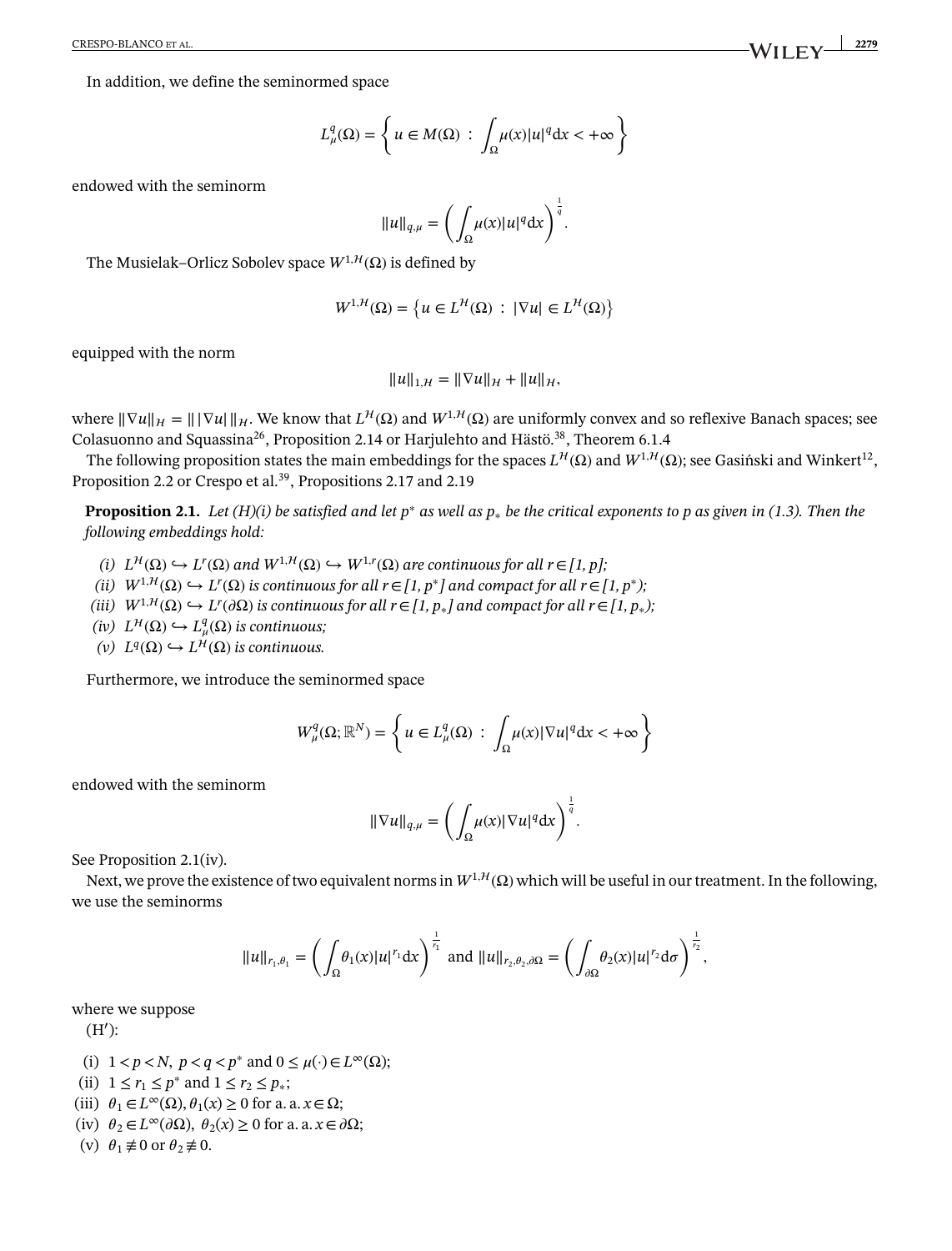In addition, we define the seminormed space

$$
L^q_\mu(\Omega) = \left\{ u \in M(\Omega) \, : \, \int_\Omega \mu(x) |u|^q \, dx < +\infty \right\}
$$

endowed with the seminorm

$$
||u||_{q,\mu} = \left(\int_{\Omega} \mu(x)|u|^q dx\right)^{\frac{1}{q}}.
$$

The Musielak–Orlicz Sobolev space  $W^{1, H}(\Omega)$  is defined by

$$
W^{1,H}(\Omega) = \left\{ u \in L^{\mathcal{H}}(\Omega) : |\nabla u| \in L^{\mathcal{H}}(\Omega) \right\}
$$

equipped with the norm

$$
||u||_{1,\mathcal{H}} = ||\nabla u||_{\mathcal{H}} + ||u||_{\mathcal{H}},
$$

where  $\|\nabla u\|_{\mathcal{H}} = \|\nabla u\|_{\mathcal{H}}$ . We know that  $L^{\mathcal{H}}(\Omega)$  and  $W^{1,\mathcal{H}}(\Omega)$  are uniformly convex and so reflexive Banach spaces; see Colasuonno and Squassina<sup>26</sup>, Proposition 2.14 or Harjulehto and Hästö.<sup>38</sup>, Theorem 6.1.4

<span id="page-3-0"></span>The following proposition states the main embeddings for the spaces  $L^{\mathcal{H}}(\Omega)$  and  $W^{1,\mathcal{H}}(\Omega)$ ; see Gasinski and Winkert<sup>12</sup>, Proposition 2.2 or Crespo et al.<sup>39</sup>, Propositions 2.17 and 2.19

**Proposition [2.1.](#page-3-0)** *Let (H)(i) be satisfied and let p*<sup>∗</sup> *as well as p*<sup>∗</sup> *be the critical exponents to p as given in (1.3). Then the following embeddings hold:*

- *(i)*  $L^{\mathcal{H}}(\Omega)$  ←  $L^r(\Omega)$  and  $W^{1,\mathcal{H}}(\Omega)$  ←  $W^{1,r}(\Omega)$  are continuous for all  $r ∈ [1, p]$ ;
- *(ii)*  $W^{1, H}(\Omega)$  ←  $L^r(\Omega)$  is continuous for all  $r ∈ [1, p^*]$  and compact for all  $r ∈ [1, p^*);$
- *(iii)*  $W^{1,H}(\Omega)$  ↔  $L^r(\partial\Omega)$  is continuous for all  $r ∈ [1, p_*]$  and compact for all  $r ∈ [1, p_*)$ ;
- $(iv) L<sup>H</sup>(Ω)$  ↔  $L<sup>q</sup><sub>\mu</sub>(Ω)$  *is continuous*;
- *(v)*  $L<sup>q</sup>(Ω)$   $\hookrightarrow$   $L<sup>H</sup>(Ω)$  *is continuous.*

Furthermore, we introduce the seminormed space

$$
W_{\mu}^{q}(\Omega;\mathbb{R}^{N}) = \left\{ u \in L_{\mu}^{q}(\Omega) : \int_{\Omega} \mu(x) |\nabla u|^{q} dx < +\infty \right\}
$$

endowed with the seminorm

$$
\|\nabla u\|_{q,\mu} = \left(\int_{\Omega} \mu(x) |\nabla u|^q dx\right)^{\frac{1}{q}}.
$$

See Proposition 2.1(iv).

Next, we prove the existence of two equivalent norms in  $W^{1, H}(\Omega)$  which will be useful in our treatment. In the following, we use the seminorms

$$
||u||_{r_1,\theta_1} = \left(\int_{\Omega} \theta_1(x)|u|^{r_1} dx\right)^{\frac{1}{r_1}} \text{ and } ||u||_{r_2,\theta_2,\partial\Omega} = \left(\int_{\partial\Omega} \theta_2(x)|u|^{r_2} d\sigma\right)^{\frac{1}{r_2}},
$$

where we suppose

(H′ ):

- (i)  $1 < p < N$ ,  $p < q < p^*$  and  $0 \le \mu(\cdot) \in L^\infty(\Omega)$ ;
- (ii)  $1 \le r_1 \le p^*$  and  $1 \le r_2 \le p_*$ ;
- (iii)  $\theta_1 \in L^{\infty}(\Omega)$ ,  $\theta_1(x) \ge 0$  for a. a.  $x \in \Omega$ ;
- (iv)  $\theta_2 \in L^{\infty}(\partial \Omega)$ ,  $\theta_2(x) \ge 0$  for a. a.  $x \in \partial \Omega$ ;

<span id="page-3-1"></span>(v)  $\theta_1 \not\equiv 0$  or  $\theta_2 \not\equiv 0$ .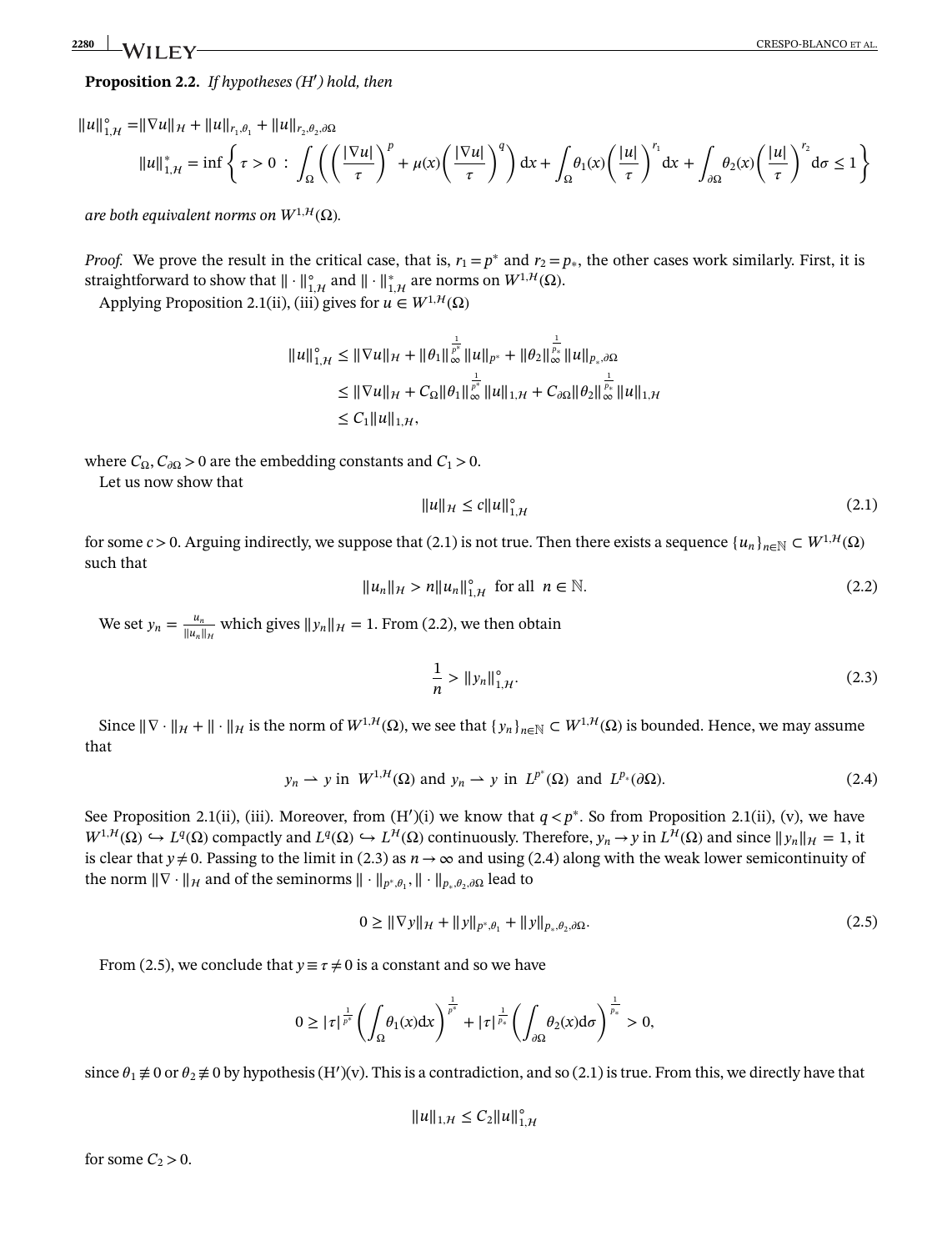## **Proposition [2.2.](#page-3-1)** *If hypotheses (H*′ *) hold, then*

$$
||u||_{1,\mathcal{H}}^{\circ} = ||\nabla u||_{\mathcal{H}} + ||u||_{r_1,\theta_1} + ||u||_{r_2,\theta_2,\partial\Omega}
$$
  

$$
||u||_{1,\mathcal{H}}^* = \inf \left\{ \tau > 0 \; : \; \int_{\Omega} \left( \left( \frac{|\nabla u|}{\tau} \right)^p + \mu(x) \left( \frac{|\nabla u|}{\tau} \right)^q \right) dx + \int_{\Omega} \theta_1(x) \left( \frac{|u|}{\tau} \right)^{r_1} dx + \int_{\partial\Omega} \theta_2(x) \left( \frac{|u|}{\tau} \right)^{r_2} d\sigma \le 1 \right\}
$$

*are both equivalent norms on*  $W^{1,H}(\Omega)$ *.* 

*Proof.* We prove the result in the critical case, that is,  $r_1 = p^*$  and  $r_2 = p_*$ , the other cases work similarly. First, it is straightforward to show that  $\|\cdot\|_{1,\mathcal{H}}^{\circ}$  and  $\|\cdot\|_{1,\mathcal{H}}^{*}$  are norms on  $W^{1,\mathcal{H}}(\Omega)$ .

Applying Proposition 2.1(ii), (iii) gives for  $u \in W^{1,H}(\Omega)$ 

$$
||u||_{1,\mathcal{H}}^{\circ} \leq ||\nabla u||_{\mathcal{H}} + ||\theta_1||_{\infty}^{\frac{1}{p^*}} ||u||_{p^*} + ||\theta_2||_{\infty}^{\frac{1}{p^*}} ||u||_{p_*,\partial\Omega}
$$
  
\n
$$
\leq ||\nabla u||_{\mathcal{H}} + C_{\Omega} ||\theta_1||_{\infty}^{\frac{1}{p^*}} ||u||_{1,\mathcal{H}} + C_{\partial\Omega} ||\theta_2||_{\infty}^{\frac{1}{p_*}} ||u||_{1,\mathcal{H}}
$$
  
\n
$$
\leq C_1 ||u||_{1,\mathcal{H}},
$$

where  $C_{\Omega}$ ,  $C_{\partial\Omega} > 0$  are the embedding constants and  $C_1 > 0$ .

Let us now show that

$$
||u||_{\mathcal{H}} \le c||u||_{1,\mathcal{H}}^{\circ}
$$
 (2.1)

for some *c* > 0. Arguing indirectly, we suppose that (2.1) is not true. Then there exists a sequence  $\{u_n\}_{n\in\mathbb{N}} \subset W^{1,1}(\Omega)$ such that

$$
||u_n||_{\mathcal{H}} > n||u_n||_{1,\mathcal{H}}^{\circ} \text{ for all } n \in \mathbb{N}.
$$
 (2.2)

We set  $y_n = \frac{u_n}{\|u_n\|_{\mathcal{H}}}$  which gives  $\|y_n\|_{\mathcal{H}} = 1$ . From (2.2), we then obtain

$$
\frac{1}{n} > \|y_n\|_{1,\mathcal{H}}^{\circ}.
$$
 (2.3)

Since  $\|\nabla \cdot \|_{\mathcal{H}} + \|\cdot \|_{\mathcal{H}}$  is the norm of  $W^{1,\mathcal{H}}(\Omega)$ , we see that  $\{y_n\}_{n\in\mathbb{N}} \subset W^{1,\mathcal{H}}(\Omega)$  is bounded. Hence, we may assume that

$$
y_n \to y
$$
 in  $W^{1,H}(\Omega)$  and  $y_n \to y$  in  $L^{p^*}(\Omega)$  and  $L^{p_*}(\partial\Omega)$ . (2.4)

See Proposition 2.1(ii), (iii). Moreover, from (H')(i) we know that *q* < *p*<sup>∗</sup>. So from Proposition 2.1(ii), (v), we have  $W^{1,H}(\Omega) \hookrightarrow L^q(\Omega)$  compactly and  $L^q(\Omega) \hookrightarrow L^H(\Omega)$  continuously. Therefore,  $y_n \to y$  in  $L^H(\Omega)$  and since  $||y_n||_H = 1$ , it is clear that  $y \neq 0$ . Passing to the limit in (2.3) as  $n \to \infty$  and using (2.4) along with the weak lower semicontinuity of the norm  $\|\nabla \cdot \|_H$  and of the seminorms  $\|\cdot\|_{p^*,\theta_1}, \|\cdot\|_{p_*,\theta_2}$  lead to

$$
0 \ge ||\nabla y||_{\mathcal{H}} + ||y||_{p^*, \theta_1} + ||y||_{p_*, \theta_2, \partial \Omega}.
$$
\n(2.5)

From (2.5), we conclude that  $y \equiv \tau \neq 0$  is a constant and so we have

$$
0 \geq |\tau|^{\frac{1}{p^*}} \left( \int_{\Omega} \theta_1(x) dx \right)^{\frac{1}{p^*}} + |\tau|^{\frac{1}{p_*}} \left( \int_{\partial \Omega} \theta_2(x) d\sigma \right)^{\frac{1}{p_*}} > 0,
$$

since  $\theta_1 \neq 0$  or  $\theta_2 \neq 0$  by hypothesis (H')(v). This is a contradiction, and so (2.1) is true. From this, we directly have that

$$
||u||_{1,\mathcal{H}} \leq C_2 ||u||_{1,\mathcal{H}}^{\circ}
$$

for some  $C_2 > 0$ .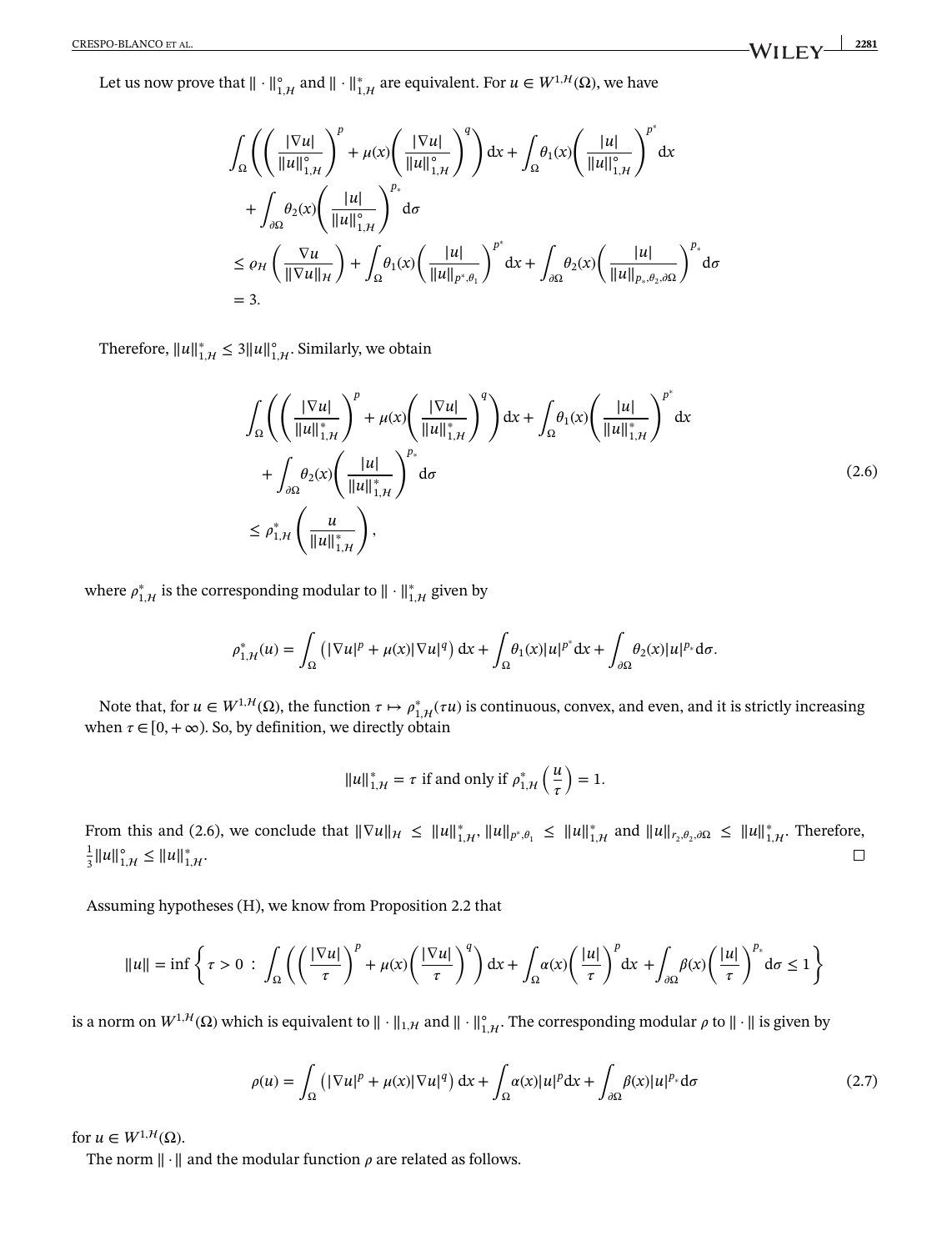Let us now prove that  $\|\cdot\|_{1,\mathcal{H}}^{\circ}$  and  $\|\cdot\|_{1,\mathcal{H}}^{*}$  are equivalent. For  $u \in W^{1,\mathcal{H}}(\Omega)$ , we have

$$
\int_{\Omega} \left( \left( \frac{|\nabla u|}{\|u\|_{1,H}^{\circ}} \right)^{p} + \mu(x) \left( \frac{|\nabla u|}{\|u\|_{1,H}^{\circ}} \right)^{q} \right) dx + \int_{\Omega} \theta_{1}(x) \left( \frac{|u|}{\|u\|_{1,H}^{\circ}} \right)^{p^{*}} dx
$$
  
+ 
$$
\int_{\partial \Omega} \theta_{2}(x) \left( \frac{|u|}{\|u\|_{1,H}^{\circ}} \right)^{p_{*}} d\sigma
$$
  

$$
\leq \varrho_{H} \left( \frac{\nabla u}{\|\nabla u\|_{H}} \right) + \int_{\Omega} \theta_{1}(x) \left( \frac{|u|}{\|u\|_{p^{*},\theta_{1}}} \right)^{p^{*}} dx + \int_{\partial \Omega} \theta_{2}(x) \left( \frac{|u|}{\|u\|_{p_{*},\theta_{2},\partial \Omega}} \right)^{p_{*}} d\sigma
$$
  
= 3.

Therefore,  $||u||_{1,\mathcal{H}}^* \leq 3||u||_{1,\mathcal{H}}^{\circ}$ . Similarly, we obtain

$$
\int_{\Omega} \left( \left( \frac{|\nabla u|}{\|u\|_{1,H}^*} \right)^p + \mu(x) \left( \frac{|\nabla u|}{\|u\|_{1,H}^*} \right)^q \right) dx + \int_{\Omega} \theta_1(x) \left( \frac{|u|}{\|u\|_{1,H}^*} \right)^p dx
$$
\n
$$
+ \int_{\partial \Omega} \theta_2(x) \left( \frac{|u|}{\|u\|_{1,H}^*} \right)^p d\sigma
$$
\n
$$
\leq \rho_{1,H}^* \left( \frac{u}{\|u\|_{1,H}^*} \right),
$$
\n(2.6)

where  $\rho_{1,\mathcal{H}}^{*}$  is the corresponding modular to  $\|\cdot\|_{1,\mathcal{H}}^{*}$  given by

$$
\rho_{1,\mathcal{H}}^*(u) = \int_{\Omega} \left( |\nabla u|^p + \mu(x) |\nabla u|^q \right) dx + \int_{\Omega} \theta_1(x) |u|^{p^*} dx + \int_{\partial \Omega} \theta_2(x) |u|^{p^*} d\sigma.
$$

Note that, for  $u \in W^{1,H}(\Omega)$ , the function  $\tau \mapsto \rho_{1,H}^*(\tau u)$  is continuous, convex, and even, and it is strictly increasing when  $\tau \in [0, +\infty)$ . So, by definition, we directly obtain

$$
||u||_{1,\mathcal{H}}^* = \tau \text{ if and only if } \rho_{1,\mathcal{H}}^* \left(\frac{u}{\tau}\right) = 1.
$$

From this and (2.6), we conclude that  $\|\nabla u\|_{\mathcal{H}} \leq \|u\|_{1,\mathcal{H}}^*$ ,  $\|u\|_{p^*,\theta_1} \leq \|u\|_{1,\mathcal{H}}^*$  and  $\|u\|_{r_2,\theta_2,\partial\Omega} \leq \|u\|_{1,\mathcal{H}}^*$ . Therefore, 1  $\frac{1}{3}||u||_{1,\mathcal{H}}^{\circ} \leq ||u||_{1,\mathcal{H}}^{*}.$  $\Box$ 

Assuming hypotheses (H), we know from Proposition 2.2 that

$$
||u|| = \inf \left\{ \tau > 0 \, : \, \int_{\Omega} \left( \left( \frac{|\nabla u|}{\tau} \right)^p + \mu(x) \left( \frac{|\nabla u|}{\tau} \right)^q \right) dx + \int_{\Omega} \alpha(x) \left( \frac{|u|}{\tau} \right)^p dx + \int_{\partial \Omega} \beta(x) \left( \frac{|u|}{\tau} \right)^p d\sigma \le 1 \right\}
$$

is a norm on  $W^{1, H}(\Omega)$  which is equivalent to  $\|\cdot\|_{1, H}$  and  $\|\cdot\|_{1, H}^{\circ}$ . The corresponding modular  $\rho$  to  $\|\cdot\|$  is given by

$$
\rho(u) = \int_{\Omega} \left( |\nabla u|^p + \mu(x) |\nabla u|^q \right) dx + \int_{\Omega} \alpha(x) |u|^p dx + \int_{\partial \Omega} \beta(x) |u|^{p_*} d\sigma \tag{2.7}
$$

for  $u \in W^{1, H}(\Omega)$ .

The norm  $\|\cdot\|$  and the modular function  $\rho$  are related as follows.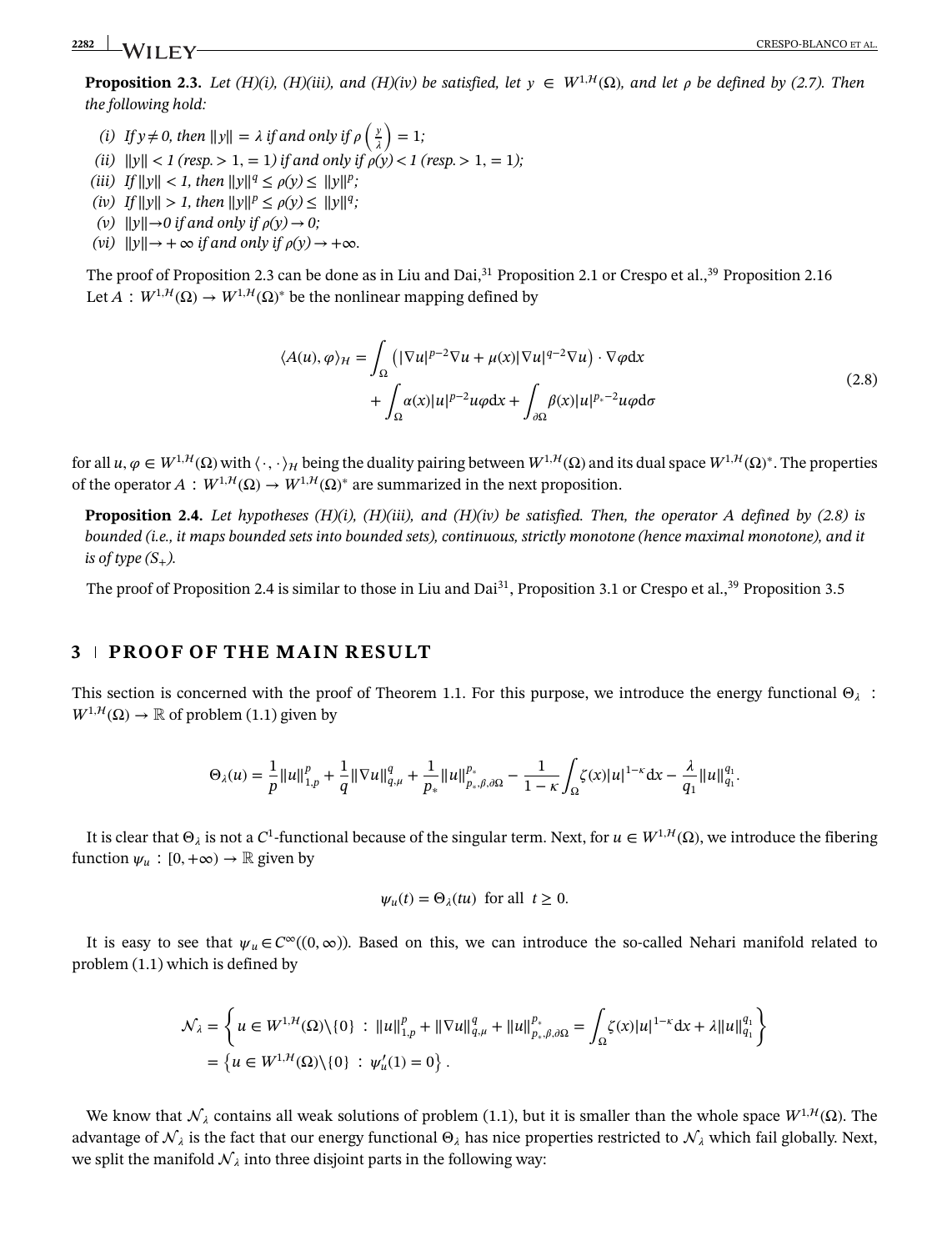<span id="page-6-0"></span>**Proposition [2.3.](#page-6-0)** *Let* (*H*)(*i*), (*H*)(*iii*), and (*H*)(*iv*) be satisfied, let  $y \in W^{1, H}(\Omega)$ , and let  $\rho$  be defined by (2.7). Then *the following hold:*

- *(i)* If  $y \neq 0$ , then  $||y|| = \lambda$  if and only if  $\rho\left(\frac{y}{\lambda}\right)$  $\lambda$  $= 1;$
- *(ii)*  $||y|| < 1$  (resp. > 1, = 1) if and only if  $\rho(y) < 1$  (resp. > 1, = 1);
- *(iii) If*  $||y|| < 1$ *, then*  $||y||^q \le \rho(y) \le ||y||^p$ ;
- *(iv) If*  $||y|| > 1$ *, then*  $||y||^p \leq \rho(y) \leq ||y||^q$ *;*
- *(v)*  $||y||\rightarrow 0$  *if and only if*  $\rho(y) \rightarrow 0$ *;*
- *(vi)*  $||y|| \rightarrow +\infty$  *if and only if*  $\rho(y) \rightarrow +\infty$ *.*

The proof of Proposition 2.3 can be done as in Liu and Dai,  $31$  Proposition 2.1 or Crespo et al.,  $39$  Proposition 2.16 Let  $A: W^{1,H}(\Omega) \to W^{1,H}(\Omega)$ <sup>\*</sup> be the nonlinear mapping defined by

$$
\langle A(u), \varphi \rangle_{\mathcal{H}} = \int_{\Omega} \left( |\nabla u|^{p-2} \nabla u + \mu(x) |\nabla u|^{q-2} \nabla u \right) \cdot \nabla \varphi dx + \int_{\Omega} \alpha(x) |u|^{p-2} u \varphi dx + \int_{\partial \Omega} \beta(x) |u|^{p_{*}-2} u \varphi d\sigma
$$
\n(2.8)

<span id="page-6-1"></span>for all  $u, \varphi \in W^{1,H}(\Omega)$  with  $\langle \cdot, \cdot \rangle_H$  being the duality pairing between  $W^{1,H}(\Omega)$  and its dual space  $W^{1,H}(\Omega)^*$ . The properties of the operator  $A: W^{1,H}(\Omega) \to W^{1,H}(\Omega)^*$  are summarized in the next proposition.

**Proposition [2.4.](#page-6-1)** *Let hypotheses (H)(i), (H)(iii), and (H)(iv) be satisfied. Then, the operator A defined by (2.8) is bounded (i.e., it maps bounded sets into bounded sets), continuous, strictly monotone (hence maximal monotone), and it is of type*  $(S_+$ *).* 

The proof of Proposition 2.4 is similar to those in Liu and Dai<sup>31</sup>, Proposition 3.1 or Crespo et al.,<sup>39</sup> Proposition 3.5

# **3 PROOF OF THE MAIN RESULT**

This section is concerned with the proof of Theorem 1.1. For this purpose, we introduce the energy functional  $\Theta_{\lambda}$ :  $W^{1, H}(\Omega) \to \mathbb{R}$  of problem (1.1) given by

$$
\Theta_\lambda(u)=\frac{1}{p}\|u\|_{1,p}^p+\frac{1}{q}\|\nabla u\|_{q,\mu}^q+\frac{1}{p_*}\|u\|_{p_*,\beta,\partial\Omega}^{p_*}-\frac{1}{1-\kappa}\int_\Omega\zeta(x)|u|^{1-\kappa}{\rm d} x-\frac{\lambda}{q_1}\|u\|_{q_1}^{q_1}.
$$

It is clear that  $\Theta_i$  is not a  $C^1$ -functional because of the singular term. Next, for  $u \in W^{1,H}(\Omega)$ , we introduce the fibering function  $\psi_u : [0, +\infty) \to \mathbb{R}$  given by

$$
\psi_u(t) = \Theta_\lambda(tu) \text{ for all } t \ge 0.
$$

It is easy to see that  $\psi_u \in C^\infty((0,\infty))$ . Based on this, we can introduce the so-called Nehari manifold related to problem (1.1) which is defined by

$$
\mathcal{N}_{\lambda} = \left\{ u \in W^{1,H}(\Omega) \setminus \{0\} : ||u||_{1,p}^{p} + ||\nabla u||_{q,\mu}^{q} + ||u||_{p_{*},\beta,\partial\Omega}^{p_{*}} = \int_{\Omega} \zeta(x) |u|^{1-\kappa} dx + \lambda ||u||_{q_{1}}^{q_{1}} \right\}
$$
  
=  $\left\{ u \in W^{1,H}(\Omega) \setminus \{0\} : \psi_{u}'(1) = 0 \right\}.$ 

We know that  $\mathcal{N}_{\lambda}$  contains all weak solutions of problem (1.1), but it is smaller than the whole space  $W^{1,H}(\Omega)$ . The advantage of  $\mathcal{N}_\lambda$  is the fact that our energy functional  $\Theta_\lambda$  has nice properties restricted to  $\mathcal{N}_\lambda$  which fail globally. Next, we split the manifold  $\mathcal{N}_{\lambda}$  into three disjoint parts in the following way: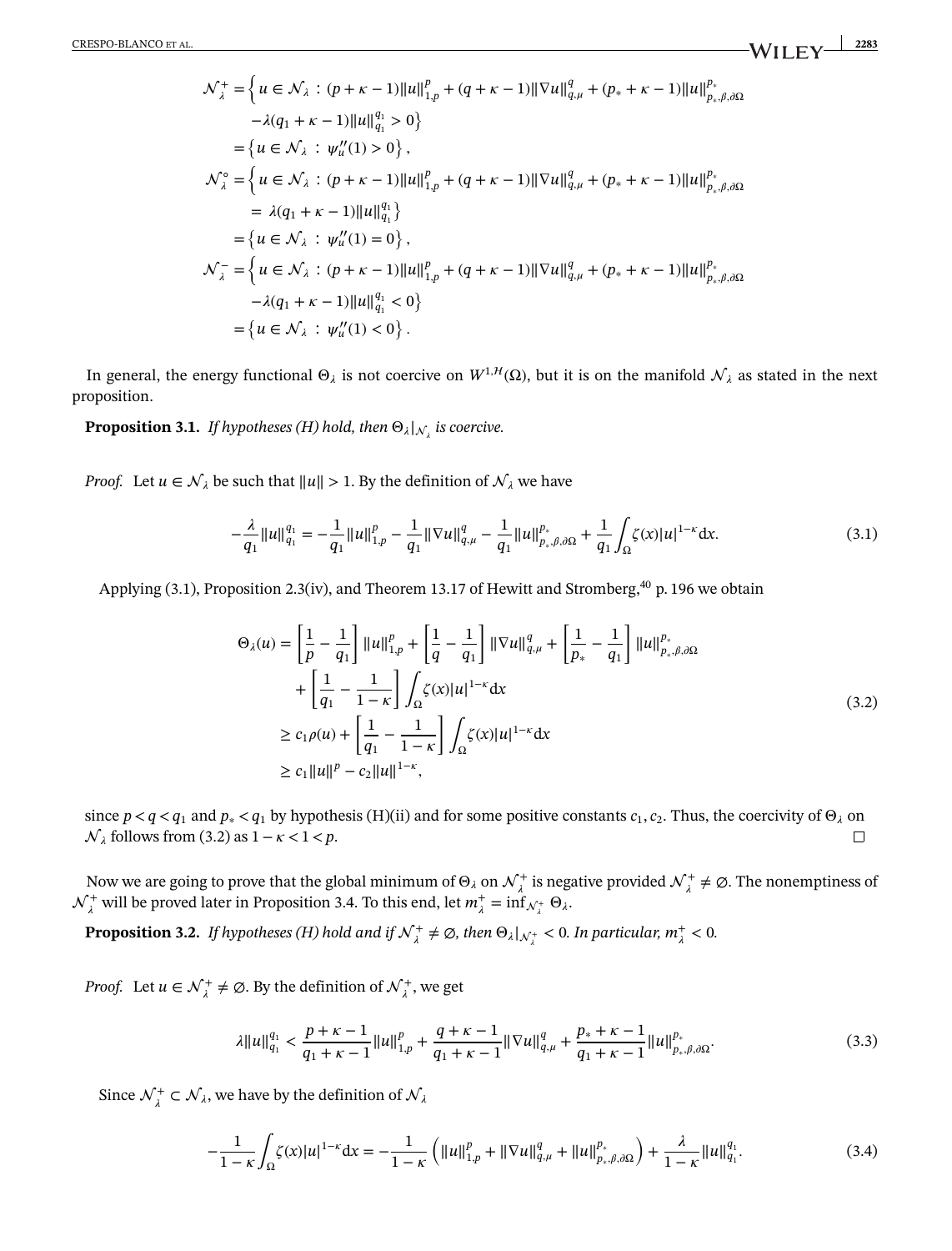$$
\mathcal{N}_{\lambda}^{+} = \left\{ u \in \mathcal{N}_{\lambda} : (p + \kappa - 1) ||u||_{1,p}^{p} + (q + \kappa - 1) ||\nabla u||_{q,\mu}^{q} + (p_{*} + \kappa - 1) ||u||_{p_{*},\beta,\partial\Omega}^{p_{*}} \right\}\n- \lambda(q_{1} + \kappa - 1) ||u||_{q_{1}}^{q_{1}} > 0 \right\}\n= \left\{ u \in \mathcal{N}_{\lambda} : \psi_{u}''(1) > 0 \right\},\n\mathcal{N}_{\lambda}^{\circ} = \left\{ u \in \mathcal{N}_{\lambda} : (p + \kappa - 1) ||u||_{1,p}^{p} + (q + \kappa - 1) ||\nabla u||_{q,\mu}^{q} + (p_{*} + \kappa - 1) ||u||_{p_{*},\beta,\partial\Omega}^{p_{*}} \right\}\n= \lambda(q_{1} + \kappa - 1) ||u||_{q_{1}}^{q_{1}}\right\}\n= \left\{ u \in \mathcal{N}_{\lambda} : \psi_{u}''(1) = 0 \right\},\n\mathcal{N}_{\lambda}^{-} = \left\{ u \in \mathcal{N}_{\lambda} : (p + \kappa - 1) ||u||_{1,p}^{p} + (q + \kappa - 1) ||\nabla u||_{q,\mu}^{q} + (p_{*} + \kappa - 1) ||u||_{p_{*},\beta,\partial\Omega}^{p_{*}} \right\}\n- \lambda(q_{1} + \kappa - 1) ||u||_{q_{1}}^{q_{1}} < 0 \right\}\n= \left\{ u \in \mathcal{N}_{\lambda} : \psi_{u}''(1) < 0 \right\}.
$$

<span id="page-7-0"></span>In general, the energy functional  $\Theta_{\lambda}$  is not coercive on  $W^{1, H}(\Omega)$ , but it is on the manifold  $\mathcal{N}_{\lambda}$  as stated in the next proposition.

**Proposition [3.1.](#page-7-0)** *If hypotheses (H) hold, then*  $\Theta_{\lambda}|_{\mathcal{N}_\lambda}$  *is coercive.* 

*Proof.* Let  $u \in \mathcal{N}_{\lambda}$  be such that  $||u|| > 1$ . By the definition of  $\mathcal{N}_{\lambda}$  we have

$$
-\frac{\lambda}{q_1}||u||_{q_1}^{q_1} = -\frac{1}{q_1}||u||_{1,p}^p - \frac{1}{q_1}||\nabla u||_{q,\mu}^q - \frac{1}{q_1}||u||_{p_*,\beta,\partial\Omega}^{p_*} + \frac{1}{q_1}\int_{\Omega}\zeta(x)|u|^{1-\kappa}dx.
$$
\n(3.1)

Applying (3.1), Proposition 2.3(iv), and Theorem 13.17 of Hewitt and Stromberg,<sup>40</sup> p. 196 we obtain

$$
\Theta_{\lambda}(u) = \left[\frac{1}{p} - \frac{1}{q_1}\right] ||u||_{1,p}^p + \left[\frac{1}{q} - \frac{1}{q_1}\right] ||\nabla u||_{q,\mu}^q + \left[\frac{1}{p_*} - \frac{1}{q_1}\right] ||u||_{p_*,\beta,\partial\Omega}^{p_*}
$$
  
+ 
$$
\left[\frac{1}{q_1} - \frac{1}{1-\kappa}\right] \int_{\Omega} \zeta(x) |u|^{1-\kappa} dx
$$
  

$$
\geq c_1 \rho(u) + \left[\frac{1}{q_1} - \frac{1}{1-\kappa}\right] \int_{\Omega} \zeta(x) |u|^{1-\kappa} dx
$$
  

$$
\geq c_1 ||u||^p - c_2 ||u||^{1-\kappa},
$$
 (3.2)

since  $p < q < q_1$  and  $p_* < q_1$  by hypothesis (H)(ii) and for some positive constants  $c_1, c_2$ . Thus, the coercivity of  $\Theta_\lambda$  on *N*<sub> $λ$  follows from (3.2) as 1− $κ$  < 1  $ρ$ . $\Box$ 

Now we are going to prove that the global minimum of  $\Theta_\lambda$  on  $\mathcal{N}^+_\lambda$  is negative provided  $\mathcal{N}^+_\lambda\neq\emptyset$ . The nonemptiness of  $\mathcal{N}_{\lambda}^+$  will be proved later in Proposition 3.4. To this end, let  $m_{\lambda}^+$  =  $\inf_{\mathcal{N}_{\lambda}^+}$   $\Theta_{\lambda}$ .

<span id="page-7-1"></span>**Proposition [3.2.](#page-7-1)** *If hypotheses (H) hold and if*  $\mathcal{N}^+_\lambda \neq \emptyset$ , then  $\Theta_\lambda|_{\mathcal{N}^+_\lambda} < 0$ . In particular,  $m^+_\lambda < 0$ .

*Proof.* Let  $u \in \mathcal{N}_\lambda^+ \neq \emptyset$ . By the definition of  $\mathcal{N}_\lambda^+$ , we get

$$
\lambda \|u\|_{q_1}^{q_1} < \frac{p+\kappa-1}{q_1+\kappa-1} \|u\|_{1,p}^p + \frac{q+\kappa-1}{q_1+\kappa-1} \|\nabla u\|_{q,\mu}^q + \frac{p_*+\kappa-1}{q_1+\kappa-1} \|u\|_{p_*,\beta,\partial\Omega}^{p_*}.\tag{3.3}
$$

Since  $\mathcal{N}_{\lambda}^{+} \subset \mathcal{N}_{\lambda}$ , we have by the definition of  $\mathcal{N}_{\lambda}$ 

$$
-\frac{1}{1-\kappa} \int_{\Omega} \zeta(x) |u|^{1-\kappa} dx = -\frac{1}{1-\kappa} \left( ||u||_{1,p}^{p} + ||\nabla u||_{q,\mu}^{q} + ||u||_{p_{\ast},\beta,\partial\Omega}^{p_{\ast}} \right) + \frac{\lambda}{1-\kappa} ||u||_{q_{1}}^{q_{1}}.
$$
 (3.4)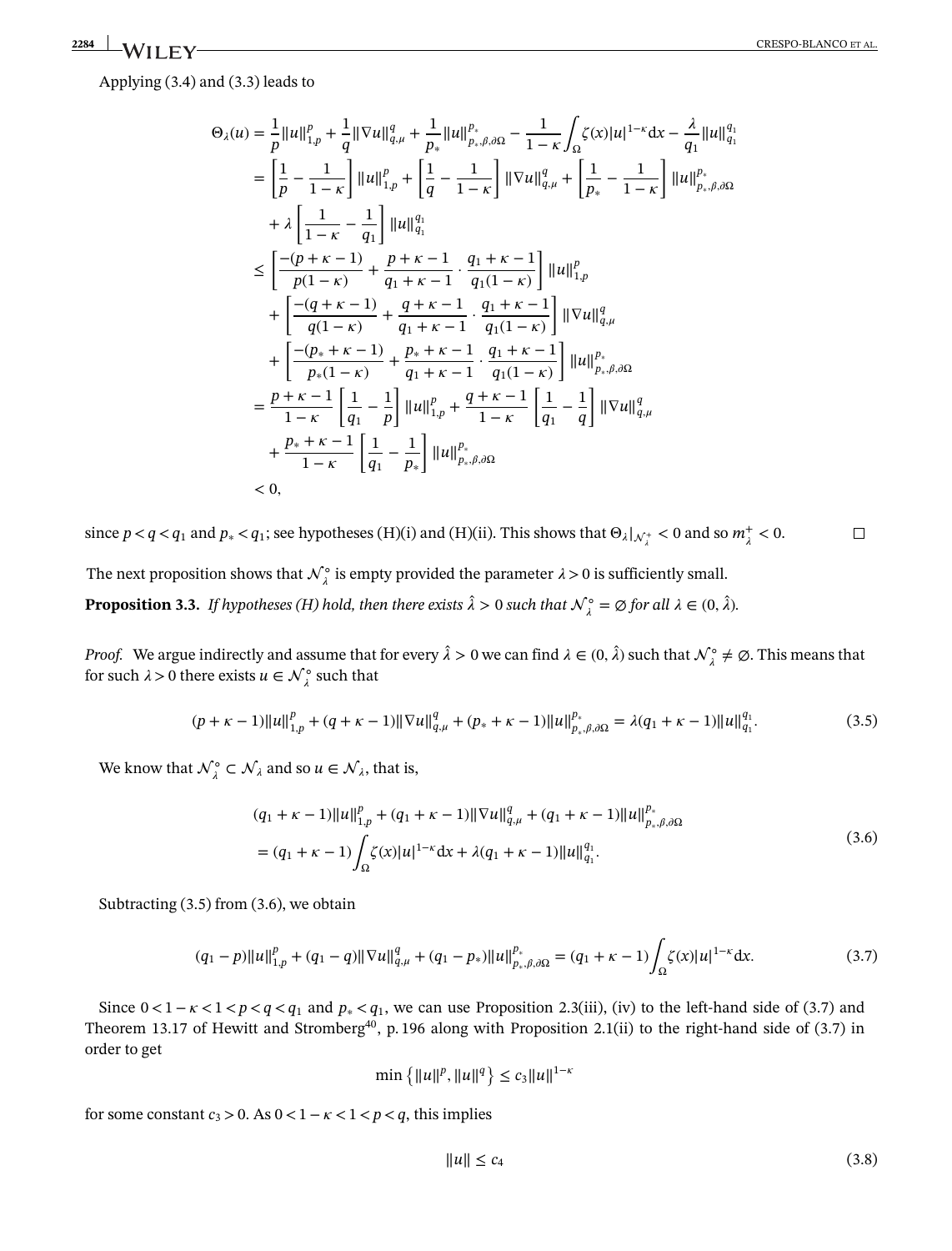Applying (3.4) and (3.3) leads to

$$
\Theta_{\lambda}(u) = \frac{1}{p} ||u||_{1,p}^{p} + \frac{1}{q} ||\nabla u||_{q,\mu}^{q} + \frac{1}{p_{*}} ||u||_{p_{*},\beta,\partial\Omega}^{p} - \frac{1}{1-\kappa} \int_{\Omega} \zeta(x) |u|^{1-\kappa} dx - \frac{\lambda}{q_{1}} ||u||_{q_{1}}^{q_{1}}
$$
\n
$$
= \left[ \frac{1}{p} - \frac{1}{1-\kappa} \right] ||u||_{1,p}^{p} + \left[ \frac{1}{q} - \frac{1}{1-\kappa} \right] ||\nabla u||_{q,\mu}^{q} + \left[ \frac{1}{p_{*}} - \frac{1}{1-\kappa} \right] ||u||_{p_{*},\beta,\partial\Omega}^{p}
$$
\n
$$
+ \lambda \left[ \frac{1}{1-\kappa} - \frac{1}{q_{1}} \right] ||u||_{q_{1}}^{q_{1}}
$$
\n
$$
\leq \left[ \frac{-(p+\kappa-1)}{p(1-\kappa)} + \frac{p+\kappa-1}{q_{1}+\kappa-1} \cdot \frac{q_{1}+\kappa-1}{q_{1}(1-\kappa)} \right] ||u||_{1,p}^{p}
$$
\n
$$
+ \left[ \frac{-(q+\kappa-1)}{q(1-\kappa)} + \frac{q+\kappa-1}{q_{1}+\kappa-1} \cdot \frac{q_{1}+\kappa-1}{q_{1}(1-\kappa)} \right] ||\nabla u||_{q,\mu}^{q}
$$
\n
$$
+ \left[ \frac{-(p_{*}+\kappa-1)}{p_{*}(1-\kappa)} + \frac{p_{*}+\kappa-1}{q_{1}+\kappa-1} \cdot \frac{q_{1}+\kappa-1}{q_{1}(1-\kappa)} \right] ||u||_{p_{*},\beta,\partial\Omega}^{p}
$$
\n
$$
= \frac{p+\kappa-1}{1-\kappa} \left[ \frac{1}{q_{1}} - \frac{1}{p} \right] ||u||_{1,p}^{p} + \frac{q+\kappa-1}{1-\kappa} \left[ \frac{1}{q_{1}} - \frac{1}{q} \right] ||\nabla u||_{q,\mu}^{q}
$$
\n
$$
+ \frac{p_{*}+\kappa-1}{1-\kappa} \left[ \frac{1}{q_{1}} - \frac{
$$

since  $p < q < q_1$  and  $p_* < q_1$ ; see hypotheses (H)(i) and (H)(ii). This shows that  $\Theta_{\lambda}|_{\mathcal{N}_{\lambda}^+} < 0$  and so  $m_{\lambda}^+ < 0$ .  $\Box$ 

<span id="page-8-0"></span>The next proposition shows that  $\mathcal{N}_{\lambda}^{\circ}$  is empty provided the parameter  $\lambda > 0$  is sufficiently small. **Proposition [3.3.](#page-8-0)** *If hypotheses (H) hold, then there exists*  $\hat{\lambda} > 0$  *such that*  $\mathcal{N}_{\lambda}^{\circ} = \emptyset$  *for all*  $\lambda \in (0, \hat{\lambda})$ *.* 

*Proof.* We argue indirectly and assume that for every  $\hat{\lambda} > 0$  we can find  $\lambda \in (0, \hat{\lambda})$  such that  $\mathcal{N}_{\lambda}^{\circ} \neq \emptyset$ . This means that for such  $\lambda > 0$  there exists  $u \in \mathcal{N}_{\lambda}^{\circ}$  such that

$$
(p + \kappa - 1) ||u||_{1,p}^p + (q + \kappa - 1) ||\nabla u||_{q,\mu}^q + (p_* + \kappa - 1) ||u||_{p_*,\beta,\partial\Omega}^{p_*} = \lambda(q_1 + \kappa - 1) ||u||_{q_1}^{q_1}.
$$
\n(3.5)

We know that  $\mathcal{N}_{\lambda}^{\circ} \subset \mathcal{N}_{\lambda}$  and so  $u \in \mathcal{N}_{\lambda}$ , that is,

$$
(q_1 + \kappa - 1) ||u||_{1,p}^p + (q_1 + \kappa - 1) ||\nabla u||_{q,\mu}^q + (q_1 + \kappa - 1) ||u||_{p_*,\beta,\partial\Omega}^{p_*}
$$
  
= 
$$
(q_1 + \kappa - 1) \int_{\Omega} \zeta(x) |u|^{1-\kappa} dx + \lambda (q_1 + \kappa - 1) ||u||_{q_1}^{q_1}.
$$
 (3.6)

Subtracting (3.5) from (3.6), we obtain

$$
(q_1 - p) \|u\|_{1,p}^p + (q_1 - q) \|\nabla u\|_{q,\mu}^q + (q_1 - p_*) \|u\|_{p_*,\beta,\partial\Omega}^{p_*} = (q_1 + \kappa - 1) \int_{\Omega} \zeta(x) |u|^{1-\kappa} dx.
$$
 (3.7)

Since  $0 < 1 - \kappa < 1 < p < q < q_1$  and  $p_* < q_1$ , we can use Proposition 2.3(iii), (iv) to the left-hand side of (3.7) and Theorem 13.17 of Hewitt and Stromberg<sup>40</sup>, p. 196 along with Proposition 2.1(ii) to the right-hand side of (3.7) in order to get

$$
\min\left\{\|u\|^p, \|u\|^q\right\} \le c_3 \|u\|^{1-\kappa}
$$

for some constant  $c_3 > 0$ . As  $0 < 1 - \kappa < 1 < p < q$ , this implies

$$
||u|| \leq c_4 \tag{3.8}
$$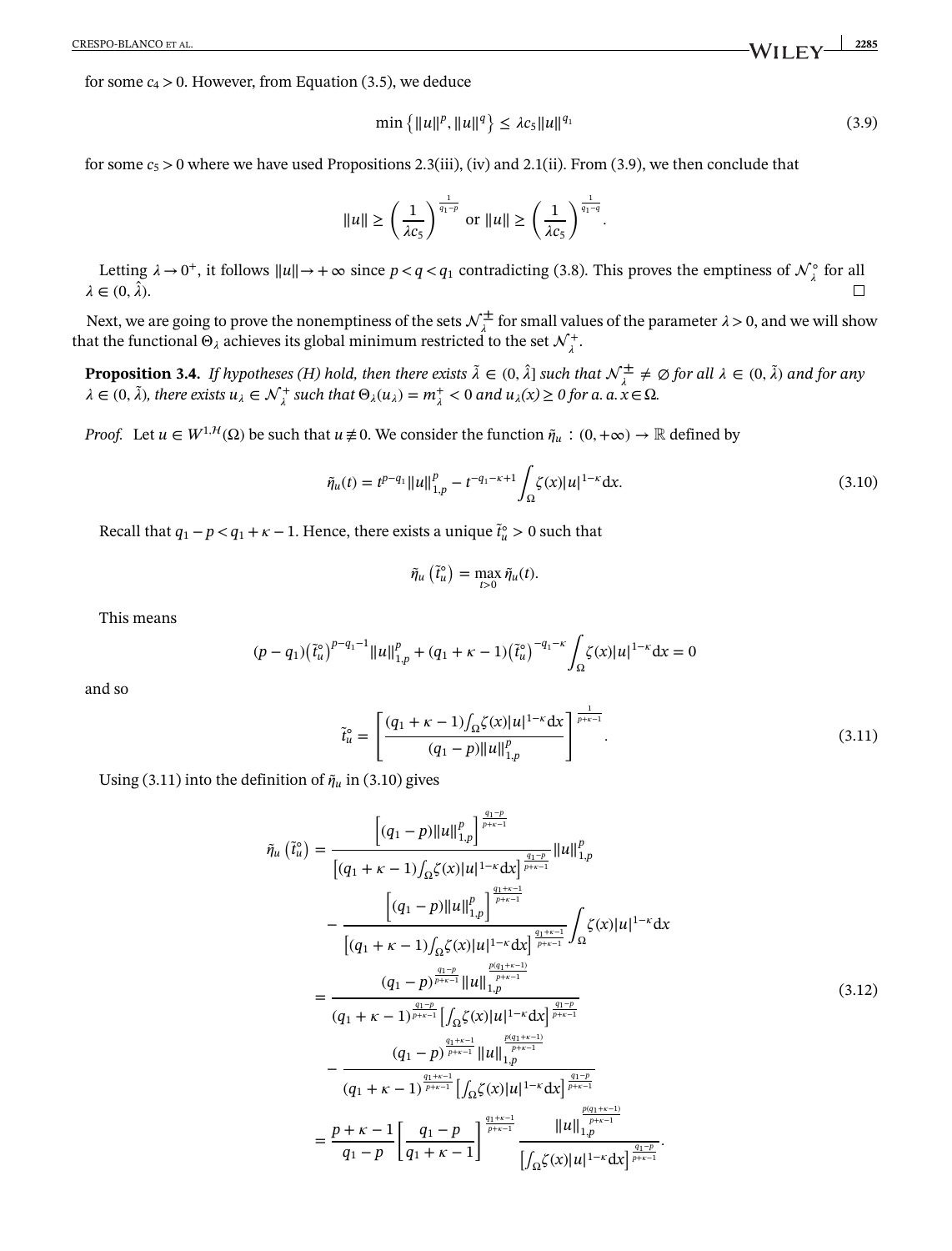for some  $c_4 > 0$ . However, from Equation (3.5), we deduce

$$
\min\left\{\|u\|^p, \|u\|^q\right\} \le \lambda c_5 \|u\|^{q_1} \tag{3.9}
$$

for some  $c_5 > 0$  where we have used Propositions 2.3(iii), (iv) and 2.1(ii). From (3.9), we then conclude that

$$
\|u\|\geq \left(\frac{1}{\lambda c_5}\right)^{\frac{1}{q_1-p}}\;\text{or}\;\|u\|\geq \left(\frac{1}{\lambda c_5}\right)^{\frac{1}{q_1-q}}.
$$

Letting  $\lambda \to 0^+$ , it follows  $||u|| \to +\infty$  since  $p < q < q_1$  contradicting (3.8). This proves the emptiness of  $\mathcal{N}_{\lambda}^{\circ}$  for all  $\lambda \in (0, \hat{\lambda})$ .

<span id="page-9-0"></span>Next, we are going to prove the nonemptiness of the sets  $\mathcal{N}^{\pm}_{\lambda}$  for small values of the parameter  $\lambda > 0$ , and we will show that the functional  $\Theta_\lambda$  achieves its global minimum restricted to the set  ${\cal N}^+_\lambda.$ 

**Proposition [3.4.](#page-9-0)** *If hypotheses (H) hold, then there exists*  $\tilde{\lambda} \in (0, \hat{\lambda}]$  *such that*  $\mathcal{N}_{\lambda}^{\pm} \neq \emptyset$  for all  $\lambda \in (0, \tilde{\lambda})$  and for any  $\lambda \in (0, \tilde{\lambda})$ , there exists  $u_{\lambda} \in \mathcal{N}_{\lambda}^{+}$  such that  $\Theta_{\lambda}(u_{\lambda}) = m_{\lambda}^{+} < 0$  and  $u_{\lambda}(x) \ge 0$  for a.  $a, x \in \Omega$ .

*Proof.* Let  $u \in W^{1,H}(\Omega)$  be such that  $u \neq 0$ . We consider the function  $\tilde{\eta}_u : (0, +\infty) \to \mathbb{R}$  defined by

$$
\tilde{\eta}_u(t) = t^{p-q_1} ||u||_{1,p}^p - t^{-q_1 - \kappa + 1} \int_{\Omega} \zeta(x) |u|^{1-\kappa} dx.
$$
\n(3.10)

Recall that  $q_1 - p < q_1 + \kappa - 1$ . Hence, there exists a unique  $\tilde{t}_u^{\circ} > 0$  such that

$$
\tilde{\eta}_u\left(\tilde{t}_u^{\circ}\right) = \max_{t>0} \tilde{\eta}_u(t).
$$

This means

$$
(p - q_1) (\tilde{t}_u^{\circ})^{p - q_1 - 1} ||u||_{1, p}^p + (q_1 + \kappa - 1) (\tilde{t}_u^{\circ})^{-q_1 - \kappa} \int_{\Omega} \zeta(x) |u|^{1 - \kappa} dx = 0
$$

and so

$$
\tilde{t}_u^{\circ} = \left[ \frac{(q_1 + \kappa - 1) \int_{\Omega} \zeta(x) |u|^{1-\kappa} dx}{(q_1 - p) ||u||_{1,p}^p} \right]^\frac{1}{p+\kappa-1}.
$$
\n(3.11)

Using (3.11) into the definition of  $\tilde{\eta}_u$  in (3.10) gives

$$
\tilde{\eta}_{u}(\tilde{t}_{u}^{o}) = \frac{\left[(q_{1}-p)||u||_{1,p}^{p}\right]_{p+\kappa-1}^{q_{1}-p}}{\left[(q_{1}+\kappa-1)\int_{\Omega}\zeta(x)|u|^{1-\kappa}dx\right]_{p+\kappa-1}^{q_{1}-p}}||u||_{1,p}^{p}}{\left[(q_{1}+\kappa-1)\int_{\Omega}\zeta(x)|u|^{1-\kappa}dx\right]_{p+\kappa-1}^{q_{1}+\kappa-1}}\int_{\Omega}\zeta(x)|u|^{1-\kappa}dx
$$
\n
$$
= \frac{(q_{1}-p)||u||_{1,p}^{p}}{\left[(q_{1}+\kappa-1)\int_{\Omega}\zeta(x)|u|^{1-\kappa}dx\right]_{p+\kappa-1}^{q_{1}+\kappa-1}}\int_{\Omega}\zeta(x)|u|^{1-\kappa}dx
$$
\n
$$
= \frac{(q_{1}-p)^{\frac{q_{1}-p}{p+\kappa-1}}||u||_{1,p}^{\frac{p(q_{1}+\kappa-1)}{p+\kappa-1}}}{(q_{1}+\kappa-1)^{\frac{q_{1}+\kappa-1}{p+\kappa-1}}||u||_{1,p}^{\frac{p(q_{1}+\kappa-1)}{p+\kappa-1}}}
$$
\n
$$
= \frac{(q_{1}-p)^{\frac{q_{1}+\kappa-1}{p+\kappa-1}}||u||_{1,p}^{\frac{p(q_{1}+\kappa-1)}{p+\kappa-1}}}{(q_{1}+\kappa-1)^{\frac{q_{1}+\kappa-1}{p+\kappa-1}}||\int_{\Omega}\zeta(x)|u|^{1-\kappa}dx|^{\frac{q_{1}-p}{p+\kappa-1}}}
$$
\n
$$
= \frac{p+\kappa-1}{q_{1}-p}\left[\frac{q_{1}-p}{q_{1}+\kappa-1}\right]^{\frac{q_{1}+\kappa-1}{p+\kappa-1}}\frac{||u||_{1,p}^{\frac{p(q_{1}+\kappa-1)}{p+\kappa-1}}}{||\int_{\Omega}\zeta(x)|u|^{1-\kappa}dx|^{\frac{q_{1}-p}{p+\kappa-1}}}.
$$
\n(3.12)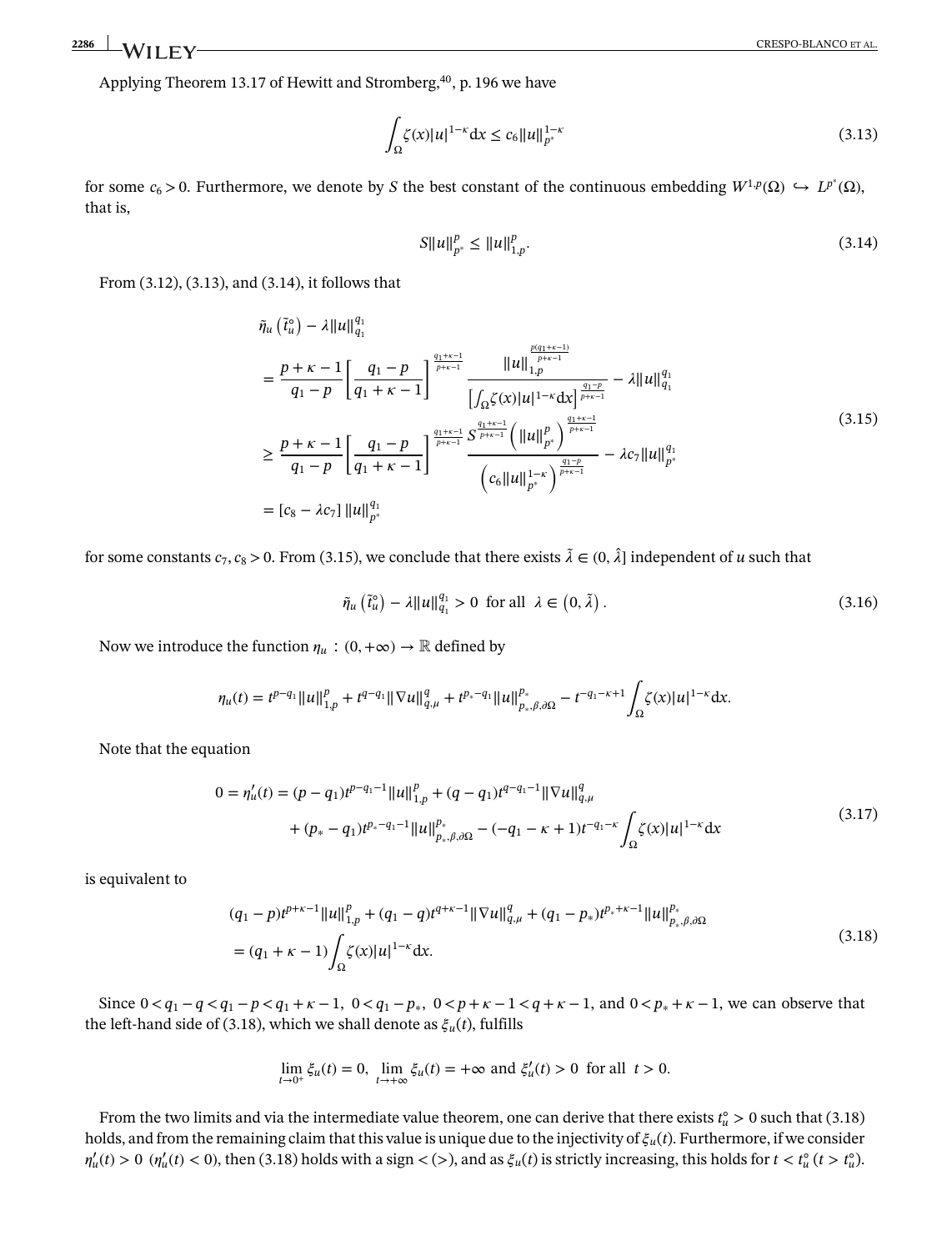Applying Theorem 13.17 of Hewitt and Stromberg,<sup>40</sup>, p. 196 we have

$$
\int_{\Omega} \zeta(x)|u|^{1-\kappa} dx \le c_6 \|u\|_{p^*}^{1-\kappa}
$$
\n(3.13)

for some  $c_6 > 0$ . Furthermore, we denote by *S* the best constant of the continuous embedding  $W^{1,p}(\Omega) \hookrightarrow L^{p^*}(\Omega)$ , that is,

$$
S||u||_{p^*}^p \le ||u||_{1,p}^p. \tag{3.14}
$$

From (3.12), (3.13), and (3.14), it follows that

$$
\tilde{\eta}_{u}(\tilde{t}_{u}^{o}) - \lambda ||u||_{q_{1}}^{q_{1}}
$$
\n
$$
= \frac{p + \kappa - 1}{q_{1} - p} \left[ \frac{q_{1} - p}{q_{1} + \kappa - 1} \right]^{q_{1} + \kappa - 1} \frac{||u||_{1,p}^{\frac{p(q_{1} + \kappa - 1)}{p + \kappa - 1}}}{\left| \int_{\Omega} \zeta(x) |u|^{1 - \kappa} dx \right]^{\frac{q_{1} + \kappa - 1}{p + \kappa - 1}}} - \lambda ||u||_{q_{1}}^{q_{1}}
$$
\n
$$
\geq \frac{p + \kappa - 1}{q_{1} - p} \left[ \frac{q_{1} - p}{q_{1} + \kappa - 1} \right]^{\frac{q_{1} + \kappa - 1}{p + \kappa - 1}} \frac{\left\| u \right\|_{p^{*}}^{p}}{\left( c_{6} ||u||_{p^{*}}^{1 - \kappa} \right)^{\frac{q_{1} - \kappa}{p + \kappa - 1}}} - \lambda c_{7} ||u||_{p^{*}}^{q_{1}}
$$
\n
$$
= [c_{8} - \lambda c_{7}] ||u||_{p^{*}}^{q_{1}}
$$
\n
$$
(3.15)
$$

for some constants  $c_7$ ,  $c_8$  > 0. From (3.15), we conclude that there exists  $\tilde{\lambda} \in (0, \hat{\lambda}]$  independent of *u* such that

$$
\tilde{\eta}_u\left(\tilde{t}_u^o\right) - \lambda \|u\|_{q_1}^{q_1} > 0 \text{ for all } \lambda \in \left(0, \tilde{\lambda}\right). \tag{3.16}
$$

Now we introduce the function  $\eta_u : (0, +\infty) \to \mathbb{R}$  defined by

$$
\eta_u(t) = t^{p-q_1} \|u\|_{1,p}^p + t^{q-q_1} \|\nabla u\|_{q,\mu}^q + t^{p_*-q_1} \|u\|_{p_*,\beta,\partial\Omega}^{p_*} - t^{-q_1-\kappa+1} \int_{\Omega} \zeta(x) |u|^{1-\kappa} dx.
$$

Note that the equation

$$
0 = \eta_u'(t) = (p - q_1)t^{p - q_1 - 1} ||u||_{1,p}^p + (q - q_1)t^{q - q_1 - 1} ||\nabla u||_{q,\mu}^q
$$
  
+ 
$$
(p_* - q_1)t^{p_* - q_1 - 1} ||u||_{p_*,\beta,\partial\Omega}^{p_*} - (-q_1 - \kappa + 1)t^{-q_1 - \kappa} \int_{\Omega} \zeta(x) |u|^{1 - \kappa} dx
$$

$$
(3.17)
$$

is equivalent to

$$
(q_1 - p)t^{p+\kappa-1}||u||_{1,p}^p + (q_1 - q)t^{q+\kappa-1}||\nabla u||_{q,\mu}^q + (q_1 - p_*)t^{p_*+\kappa-1}||u||_{p_*,\beta,\partial\Omega}^{p_*}
$$
  
= 
$$
(q_1 + \kappa - 1)\int_{\Omega} \zeta(x)|u|^{1-\kappa} dx.
$$
 (3.18)

Since  $0 < q_1 - q < q_1 - p < q_1 + \kappa - 1$ ,  $0 < q_1 - p_*$ ,  $0 < p + \kappa - 1 < q + \kappa - 1$ , and  $0 < p_* + \kappa - 1$ , we can observe that the left-hand side of (3.18), which we shall denote as  $\xi_u(t)$ , fulfills

$$
\lim_{t \to 0^+} \xi_u(t) = 0, \ \lim_{t \to +\infty} \xi_u(t) = +\infty \text{ and } \xi'_u(t) > 0 \text{ for all } t > 0.
$$

From the two limits and via the intermediate value theorem, one can derive that there exists  $t_u^{\circ} > 0$  such that (3.18) holds, and from the remaining claim that this value is unique due to the injectivity of  $\xi_u(t)$ . Furthermore, if we consider  $\eta'_u(t) > 0$  ( $\eta'_u(t) < 0$ ), then (3.18) holds with a sign < (>), and as  $\xi_u(t)$  is strictly increasing, this holds for  $t < t_u^{\circ}(t > t_u^{\circ})$ .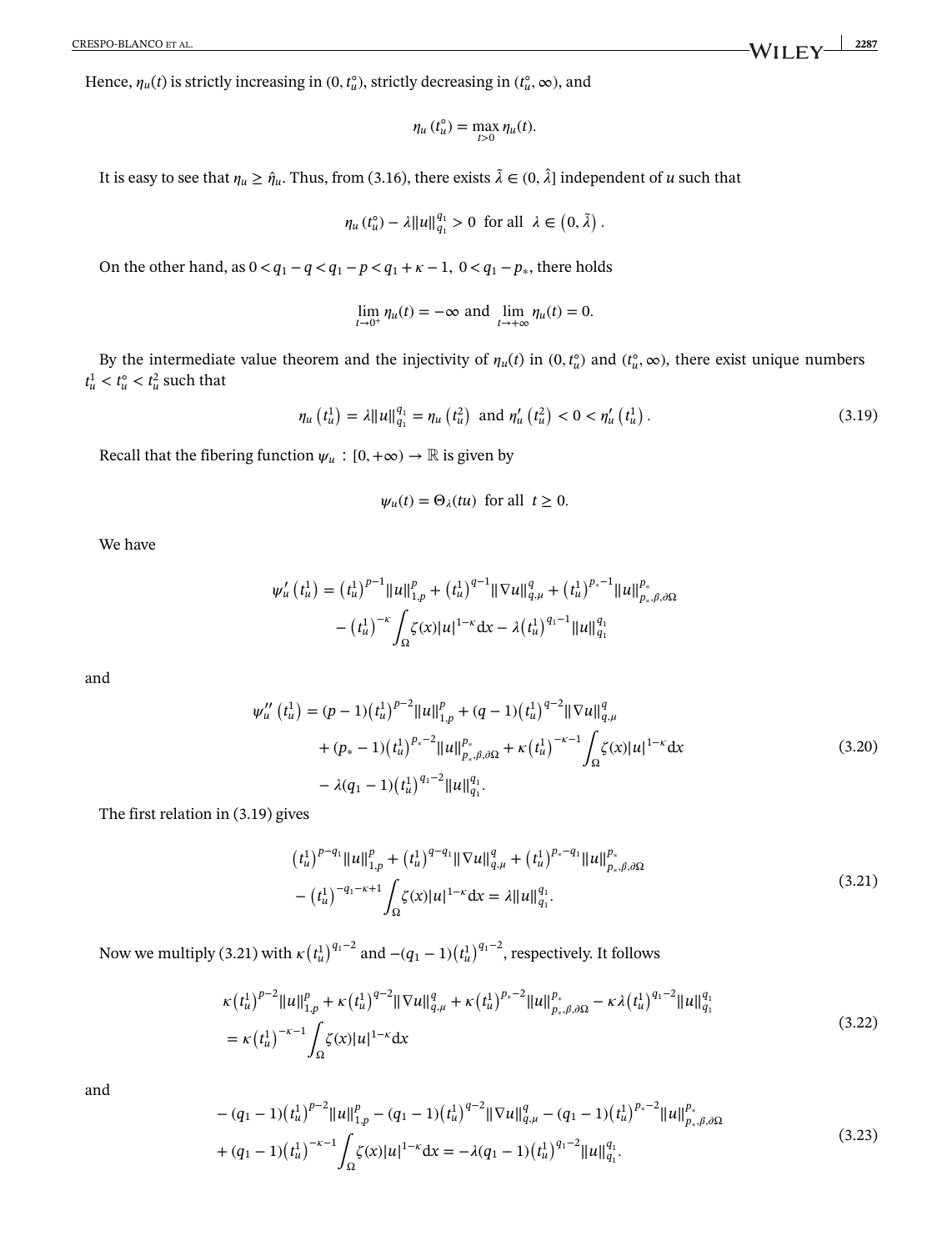Hence,  $\eta_u(t)$  is strictly increasing in  $(0, t_u^{\circ})$ , strictly decreasing in  $(t_u^{\circ}, \infty)$ , and

$$
\eta_u(t_u^{\circ}) = \max_{t>0} \eta_u(t).
$$

It is easy to see that  $\eta_u \ge \hat{\eta}_u$ . Thus, from (3.16), there exists  $\tilde{\lambda} \in (0, \hat{\lambda}]$  independent of *u* such that

$$
\eta_u(t_u^{\circ}) - \lambda ||u||_{q_1}^{q_1} > 0 \text{ for all } \lambda \in (0, \tilde{\lambda}) .
$$

On the other hand, as  $0 < q_1 - q < q_1 - p < q_1 + k - 1$ ,  $0 < q_1 - p_*$ , there holds

$$
\lim_{t \to 0^+} \eta_u(t) = -\infty \text{ and } \lim_{t \to +\infty} \eta_u(t) = 0.
$$

By the intermediate value theorem and the injectivity of  $\eta_u(t)$  in  $(0, t_u^0)$  and  $(t_u^0, \infty)$ , there exist unique numbers  $t_u^1 < t_u^0 < t_u^2$  such that

$$
\eta_u(t_u^1) = \lambda ||u||_{q_1}^{q_1} = \eta_u(t_u^2) \text{ and } \eta_u'(t_u^2) < 0 < \eta_u'(t_u^1). \tag{3.19}
$$

Recall that the fibering function  $\psi_u : [0, +\infty) \to \mathbb{R}$  is given by

$$
\psi_u(t) = \Theta_\lambda(tu)
$$
 for all  $t \ge 0$ .

We have

$$
\psi_{u}'(t_{u}^{1}) = (t_{u}^{1})^{p-1} ||u||_{1,p}^{p} + (t_{u}^{1})^{q-1} ||\nabla u||_{q,\mu}^{q} + (t_{u}^{1})^{p_{*}-1} ||u||_{p_{*},\beta,\partial\Omega}^{p_{*}}
$$

$$
- (t_{u}^{1})^{-\kappa} \int_{\Omega} \zeta(x) |u|^{1-\kappa} dx - \lambda (t_{u}^{1})^{q_{1}-1} ||u||_{q_{1}}^{q_{1}}
$$

and

$$
\psi_{u}''(t_{u}^{1}) = (p-1)(t_{u}^{1})^{p-2} ||u||_{1,p}^{p} + (q-1)(t_{u}^{1})^{q-2} ||\nabla u||_{q,\mu}^{q}
$$
  
+ 
$$
(p_{*}-1)(t_{u}^{1})^{p_{*}-2} ||u||_{p_{*},\beta,\partial\Omega}^{p} + \kappa (t_{u}^{1})^{-\kappa-1} \int_{\Omega} \zeta(x) |u|^{1-\kappa} dx
$$
  
- 
$$
\lambda(q_{1}-1)(t_{u}^{1})^{q_{1}-2} ||u||_{q_{1}}^{q_{1}}.
$$
 (3.20)

The first relation in (3.19) gives

$$
(t_u^1)^{p-q_1} \|u\|_{1,p}^p + (t_u^1)^{q-q_1} \|\nabla u\|_{q,\mu}^q + (t_u^1)^{p_*-q_1} \|u\|_{p_*,\beta,\partial\Omega}^{p_*}
$$

$$
- (t_u^1)^{-q_1-\kappa+1} \int_{\Omega} \zeta(x) |u|^{1-\kappa} dx = \lambda \|u\|_{q_1}^{q_1}.
$$
 (3.21)

Now we multiply (3.21) with  $\kappa \left(t_{u}^{1}\right)^{q_{1}-2}$  and  $-(q_{1}-1){\left(t_{u}^{1}\right)}^{q_{1}-2}$ , respectively. It follows

$$
\kappa(t_u^1)^{p-2}||u||_{1,p}^p + \kappa(t_u^1)^{q-2}||\nabla u||_{q,\mu}^q + \kappa(t_u^1)^{p_*-2}||u||_{p_*,\beta,\partial\Omega}^{p_*} - \kappa\lambda(t_u^1)^{q_1-2}||u||_{q_1}^{q_1}
$$
  
=  $\kappa(t_u^1)^{-\kappa-1}\int_{\Omega}\zeta(x)|u|^{1-\kappa}dx$  (3.22)

and

$$
-(q_1 - 1)(t_u^1)^{p-2} ||u||_{1,p}^p - (q_1 - 1)(t_u^1)^{q-2} ||\nabla u||_{q,\mu}^q - (q_1 - 1)(t_u^1)^{p_*-2} ||u||_{p_*,\beta,\partial\Omega}^{p_*}
$$
  
+
$$
(q_1 - 1)(t_u^1)^{-\kappa-1} \int_{\Omega} \zeta(x) |u|^{1-\kappa} dx = -\lambda (q_1 - 1)(t_u^1)^{q_1-2} ||u||_{q_1}^{q_1}.
$$
 (3.23)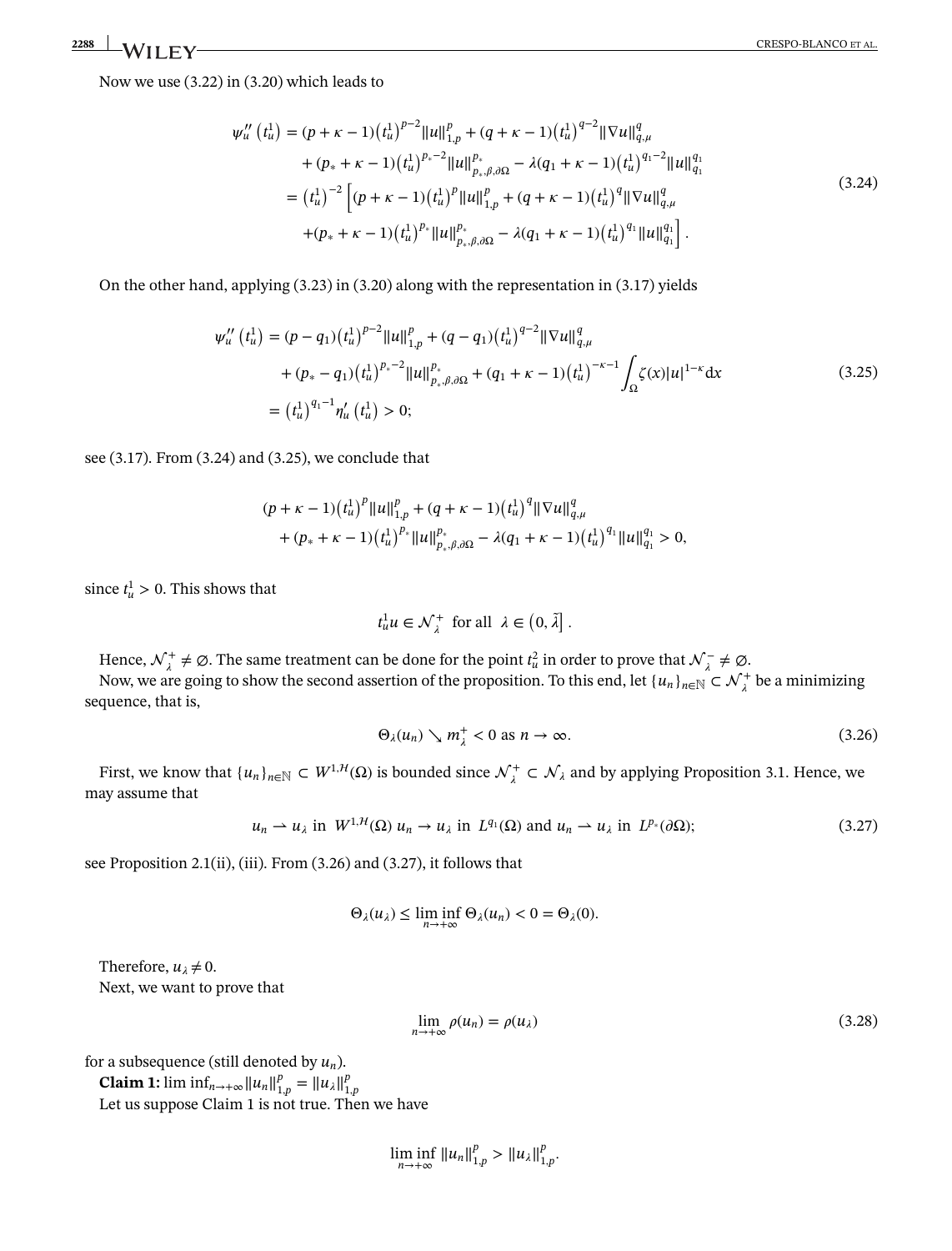Now we use (3.22) in (3.20) which leads to

$$
\psi_{u}''(t_{u}^{1}) = (p + \kappa - 1)(t_{u}^{1})^{p-2} ||u||_{1,p}^{p} + (q + \kappa - 1)(t_{u}^{1})^{q-2} ||\nabla u||_{q,\mu}^{q}
$$
  
+ 
$$
(p_{*} + \kappa - 1)(t_{u}^{1})^{p_{*}-2} ||u||_{p_{*},\beta,\partial\Omega}^{p_{*}} - \lambda(q_{1} + \kappa - 1)(t_{u}^{1})^{q_{1}-2} ||u||_{q_{1}}^{q_{1}}
$$
  
= 
$$
(t_{u}^{1})^{-2} \left[ (p + \kappa - 1)(t_{u}^{1})^{p} ||u||_{1,p}^{p} + (q + \kappa - 1)(t_{u}^{1})^{q} ||\nabla u||_{q,\mu}^{q}
$$
  
+ 
$$
(p_{*} + \kappa - 1)(t_{u}^{1})^{p_{*}} ||u||_{p_{*},\beta,\partial\Omega}^{p_{*}} - \lambda(q_{1} + \kappa - 1)(t_{u}^{1})^{q_{1}} ||u||_{q_{1}}^{q_{1}} \right].
$$
  
(3.24)

On the other hand, applying (3.23) in (3.20) along with the representation in (3.17) yields

$$
\psi_{u}''(t_{u}^{1}) = (p - q_{1})(t_{u}^{1})^{p-2}||u||_{1,p}^{p} + (q - q_{1})(t_{u}^{1})^{q-2}||\nabla u||_{q,\mu}^{q}
$$
  
+ 
$$
(p_{*} - q_{1})(t_{u}^{1})^{p_{*}-2}||u||_{p_{*},\beta,\partial\Omega}^{p_{*}} + (q_{1} + \kappa - 1)(t_{u}^{1})^{-\kappa-1} \int_{\Omega} \zeta(x)|u|^{1-\kappa} dx
$$
  
= 
$$
(t_{u}^{1})^{q_{1}-1} \eta_{u}'(t_{u}^{1}) > 0;
$$
 (3.25)

see (3.17). From (3.24) and (3.25), we conclude that

$$
(p + \kappa - 1)(t_u^1)^p ||u||_{1,p}^p + (q + \kappa - 1)(t_u^1)^q ||\nabla u||_{q,\mu}^q
$$
  
+ 
$$
(p_* + \kappa - 1)(t_u^1)^{p_*} ||u||_{p_*,\beta,\partial\Omega}^{p_*} - \lambda(q_1 + \kappa - 1)(t_u^1)^{q_1} ||u||_{q_1}^{q_1} > 0,
$$

since  $t^1_u > 0$ . This shows that

$$
t^1_u u \in \mathcal{N}^+_{\lambda} \text{ for all } \lambda \in (0, \tilde{\lambda}].
$$

Hence,  $\mathcal{N}^+_\lambda \neq \emptyset$ . The same treatment can be done for the point  $t^2_u$  in order to prove that  $\mathcal{N}^-_\lambda \neq \emptyset$ .

Now, we are going to show the second assertion of the proposition. To this end, let  $\{u_n\}_{n\in\mathbb{N}}\subset \mathcal{N}^+_\lambda$  be a minimizing sequence, that is,

$$
\Theta_{\lambda}(u_n) \searrow m_{\lambda}^+ < 0 \text{ as } n \to \infty. \tag{3.26}
$$

First, we know that  $\{u_n\}_{n\in\mathbb{N}} \subset W^{1,H}(\Omega)$  is bounded since  $\mathcal{N}^+_\lambda \subset \mathcal{N}_\lambda$  and by applying Proposition 3.1. Hence, we may assume that

$$
u_n \rightharpoonup u_\lambda \text{ in } W^{1,H}(\Omega) \ u_n \to u_\lambda \text{ in } L^{q_1}(\Omega) \text{ and } u_n \rightharpoonup u_\lambda \text{ in } L^{p_*}(\partial \Omega); \tag{3.27}
$$

see Proposition 2.1(ii), (iii). From (3.26) and (3.27), it follows that

$$
\Theta_{\lambda}(u_{\lambda}) \leq \liminf_{n \to +\infty} \Theta_{\lambda}(u_{n}) < 0 = \Theta_{\lambda}(0).
$$

Therefore,  $u_{\lambda} \neq 0$ . Next, we want to prove that

$$
\lim_{n \to +\infty} \rho(u_n) = \rho(u_\lambda) \tag{3.28}
$$

for a subsequence (still denoted by *un*).

**Claim 1:** lim  $\inf_{n\to+\infty} ||u_n||_{1,p}^p = ||u_\lambda||_{1,p}^p$ <br>Let us suppose Claim 1 is not true. Then we have

$$
\liminf_{n\to+\infty}||u_n||_{1,p}^p>||u_\lambda||_{1,p}^p.
$$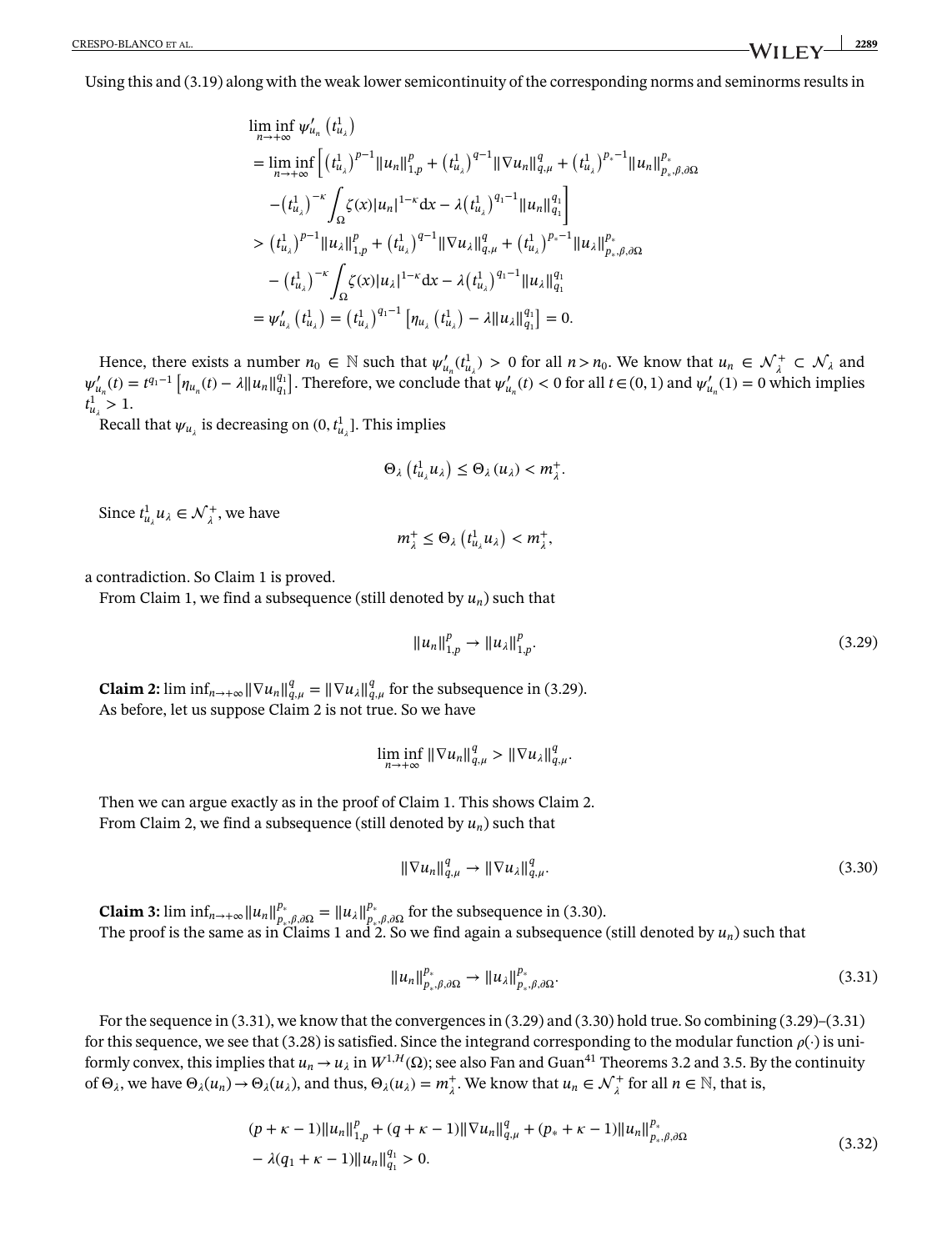Using this and (3.19) along with the weak lower semicontinuity of the corresponding norms and seminorms results in

$$
\liminf_{n \to +\infty} \psi'_{u_n} (t_{u_\lambda}^1)
$$
\n
$$
= \liminf_{n \to +\infty} \left[ (t_{u_\lambda}^1)^{p-1} ||u_n||_{1,p}^p + (t_{u_\lambda}^1)^{q-1} ||\nabla u_n||_{q,\mu}^q + (t_{u_\lambda}^1)^{p_*-1} ||u_n||_{p_*,\beta,\partial\Omega}^{p_*}
$$
\n
$$
- (t_{u_\lambda}^1)^{-\kappa} \int_{\Omega} \zeta(x) |u_n|^{1-\kappa} dx - \lambda (t_{u_\lambda}^1)^{q_1-1} ||u_n||_{q_1}^{q_1} \right]
$$
\n
$$
> (t_{u_\lambda}^1)^{p-1} ||u_\lambda||_{1,p}^p + (t_{u_\lambda}^1)^{q-1} ||\nabla u_\lambda||_{q,\mu}^q + (t_{u_\lambda}^1)^{p_*-1} ||u_\lambda||_{p_*,\beta,\partial\Omega}^{p_*}
$$
\n
$$
- (t_{u_\lambda}^1)^{-\kappa} \int_{\Omega} \zeta(x) |u_\lambda|^{1-\kappa} dx - \lambda (t_{u_\lambda}^1)^{q_1-1} ||u_\lambda||_{q_1}^{q_1}
$$
\n
$$
= \psi'_{u_\lambda} (t_{u_\lambda}^1) = (t_{u_\lambda}^1)^{q_1-1} [n_{u_\lambda} (t_{u_\lambda}^1) - \lambda ||u_\lambda||_{q_1}^{q_1}] = 0.
$$

Hence, there exists a number  $n_0 \in \mathbb{N}$  such that  $\psi'_{u_n}(t^1_{u_\lambda}) > 0$  for all  $n > n_0$ . We know that  $u_n \in \mathcal{N}^+_{\lambda} \subset \mathcal{N}_{\lambda}$  and  $\psi'_{u_n}(t) = t^{q_1-1} \left[ \eta_{u_n}(t) - \lambda ||u_n||_{q_1}^{q_1} \right]$ . Therefore, we conclude that  $\psi'_{u_n}(t) < 0$  for all  $t \in (0,1)$  and  $\psi'_{u_n}(1) = 0$  which implies  $t^1_{u_\lambda} > 1.$ 

Recall that  $\psi_{u_\lambda}$  is decreasing on  $(0, t^1_{u_\lambda}]$ . This implies

$$
\Theta_{\lambda}\left(t_{u_{\lambda}}^{1}u_{\lambda}\right)\leq\Theta_{\lambda}\left(u_{\lambda}\right)
$$

Since  $t^1_{u_\lambda} u_\lambda \in \mathcal{N}^+_{\lambda}$ , we have

$$
m_{\lambda}^+\leq \Theta_{\lambda}\left(t_{u_{\lambda}}^1u_{\lambda}\right)
$$

a contradiction. So Claim 1 is proved.

From Claim 1, we find a subsequence (still denoted by *un*) such that

$$
||u_n||_{1,p}^p \to ||u_\lambda||_{1,p}^p. \tag{3.29}
$$

**Claim 2:**  $\liminf_{n \to +\infty} \|\nabla u_n\|_{q,\mu}^q = \|\nabla u_\lambda\|_{q,\mu}^q$  for the subsequence in (3.29). As before, let us suppose Claim 2 is not true. So we have

$$
\liminf_{n\to+\infty} \|\nabla u_n\|_{q,\mu}^q > \|\nabla u_\lambda\|_{q,\mu}^q.
$$

Then we can argue exactly as in the proof of Claim 1. This shows Claim 2. From Claim 2, we find a subsequence (still denoted by  $u_n$ ) such that

$$
\|\nabla u_n\|_{q,\mu}^q \to \|\nabla u_\lambda\|_{q,\mu}^q. \tag{3.30}
$$

**Claim 3:** lim inf<sub>n→+∞</sub>  $||u_n||_{p_{\nu},\beta,\partial\Omega}^{p_{\nu}} = ||u_{\lambda}||_{p_{\nu},\partial\Omega}^{p_{\nu}}$  for the subsequence in (3.30). The proof is the same as in Claims 1 and 2. So we find again a subsequence (still denoted by *un*) such that

$$
||u_n||_{p_*,\beta,\partial\Omega}^{p_*} \to ||u_\lambda||_{p_*,\beta,\partial\Omega}^{p_*}.
$$
\n(3.31)

For the sequence in (3.31), we know that the convergences in (3.29) and (3.30) hold true. So combining (3.29)–(3.31) for this sequence, we see that (3.28) is satisfied. Since the integrand corresponding to the modular function  $\rho(\cdot)$  is uniformly convex, this implies that  $u_n \to u_\lambda$  in  $W^{1, H}(\Omega)$ ; see also Fan and Guan<sup>41</sup> Theorems 3.2 and 3.5. By the continuity of  $\Theta_{\lambda}$ , we have  $\Theta_{\lambda}(u_n) \to \Theta_{\lambda}(u_{\lambda})$ , and thus,  $\Theta_{\lambda}(u_{\lambda}) = m_{\lambda}^+$ . We know that  $u_n \in \mathcal{N}_{\lambda}^+$  for all  $n \in \mathbb{N}$ , that is,

$$
(p + \kappa - 1)||u_n||_{1,p}^p + (q + \kappa - 1)||\nabla u_n||_{q,\mu}^q + (p_* + \kappa - 1)||u_n||_{p_*,\beta,\partial\Omega}^{p_*}
$$
  

$$
- \lambda(q_1 + \kappa - 1)||u_n||_{q_1}^{q_1} > 0.
$$
 (3.32)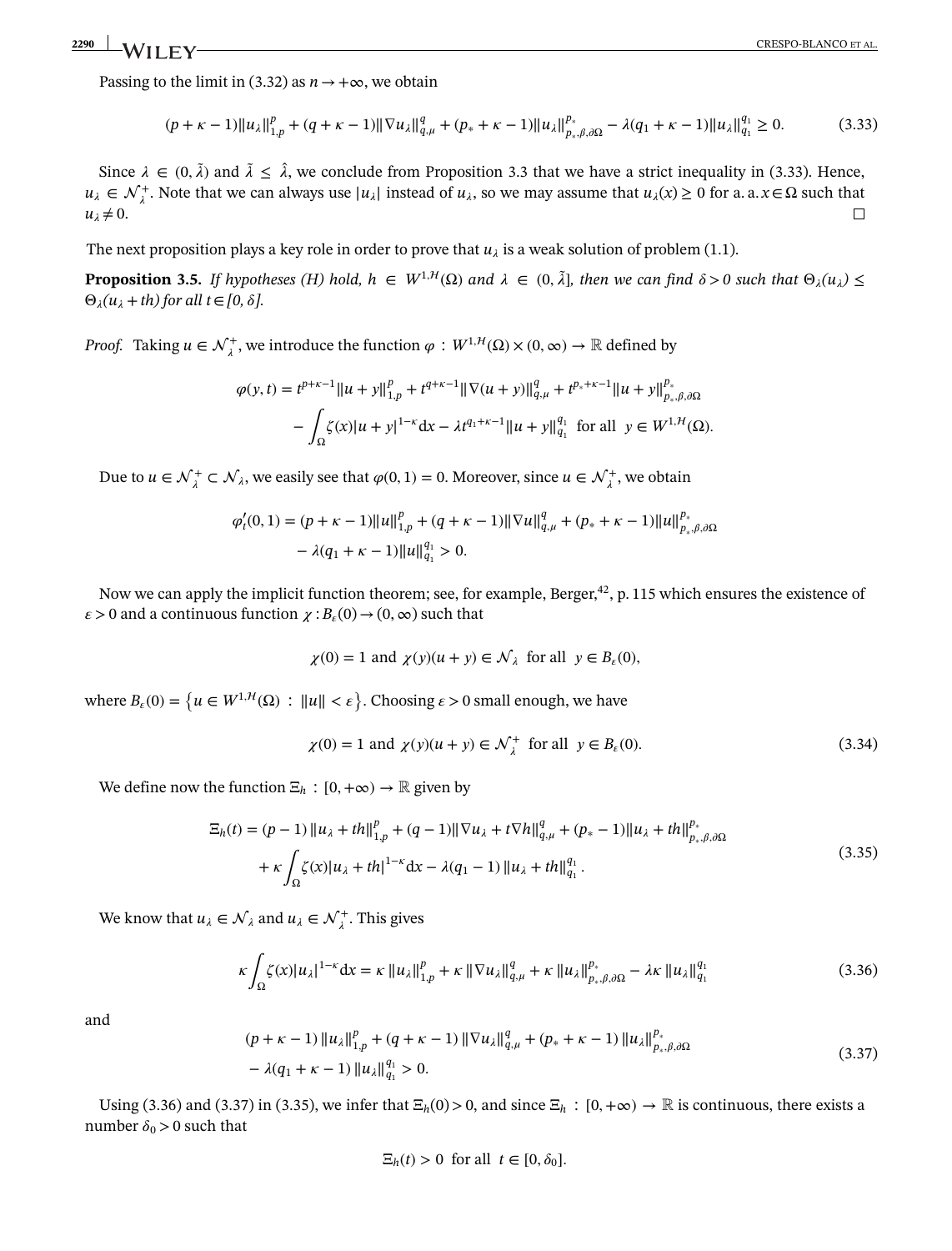Passing to the limit in (3.32) as  $n \rightarrow +\infty$ , we obtain

$$
(p + \kappa - 1) \|u_{\lambda}\|_{1, p}^{p} + (q + \kappa - 1) \| \nabla u_{\lambda}\|_{q, \mu}^{q} + (p_{*} + \kappa - 1) \|u_{\lambda}\|_{p_{*}, \beta, \partial\Omega}^{p_{*}} - \lambda (q_{1} + \kappa - 1) \|u_{\lambda}\|_{q_{1}}^{q_{1}} \ge 0.
$$
 (3.33)

Since  $\lambda \in (0, \tilde{\lambda})$  and  $\tilde{\lambda} \leq \hat{\lambda}$ , we conclude from Proposition 3.3 that we have a strict inequality in (3.33). Hence,  $u_{\lambda}$  ∈  $\mathcal{N}_{\lambda}^{+}$ . Note that we can always use |*u*<sub>λ</sub>| instead of *u*<sub>λ</sub>, so we may assume that *u*<sub>λ</sub>(*x*) ≥ 0 for a. a. *x* ∈ Ω such that  $u_{\lambda} \neq 0$ .

<span id="page-14-0"></span>The next proposition plays a key role in order to prove that  $u_{\lambda}$  is a weak solution of problem (1.1).

**Proposition [3.5.](#page-14-0)** *If hypotheses (H) hold, h*  $\in$   $W^{1, H}(\Omega)$  *and*  $\lambda \in (0, \tilde{\lambda}]$ *, then we can find*  $\delta > 0$  *such that*  $\Theta_{\lambda}(u_{\lambda}) \leq$  $\Theta_{\lambda}(u_{\lambda}+th)$  for all  $t \in [0,\delta]$ .

*Proof.* Taking  $u \in \mathcal{N}_\lambda^+$ , we introduce the function  $\varphi : W^{1, \mathcal{H}}(\Omega) \times (0, \infty) \to \mathbb{R}$  defined by

$$
\varphi(y,t) = t^{p+\kappa-1} \|u+y\|_{1,p}^p + t^{q+\kappa-1} \|\nabla(u+y)\|_{q,\mu}^q + t^{p_*+\kappa-1} \|u+y\|_{p_*,\beta,\partial\Omega}^{p_*}
$$

$$
- \int_{\Omega} \zeta(x) |u+y|^{1-\kappa} dx - \lambda t^{q_1+\kappa-1} \|u+y\|_{q_1}^{q_1} \text{ for all } y \in W^{1,H}(\Omega).
$$

Due to  $u \in \mathcal{N}_\lambda^+ \subset \mathcal{N}_\lambda$ , we easily see that  $\varphi(0,1) = 0$ . Moreover, since  $u \in \mathcal{N}_\lambda^+$ , we obtain

$$
\varphi'_t(0,1) = (p+\kappa-1)||u||_{1,p}^p + (q+\kappa-1)||\nabla u||_{q,\mu}^q + (p_*+\kappa-1)||u||_{p_*,\beta,\partial\Omega}^{p_*}
$$

$$
- \lambda(q_1+\kappa-1)||u||_{q_1}^{q_1} > 0.
$$

Now we can apply the implicit function theorem; see, for example, Berger,<sup>42</sup>, p. 115 which ensures the existence of  $\epsilon > 0$  and a continuous function  $\chi : B_{\epsilon}(0) \to (0, \infty)$  such that

$$
\chi(0) = 1
$$
 and  $\chi(y)(u + y) \in \mathcal{N}_{\lambda}$  for all  $y \in B_{\varepsilon}(0)$ ,

where  $B_{\varepsilon}(0) = \left\{ u \in W^{1,H}(\Omega) : ||u|| < \varepsilon \right\}$ . Choosing  $\varepsilon > 0$  small enough, we have

$$
\chi(0) = 1 \text{ and } \chi(y)(u+y) \in \mathcal{N}_\lambda^+ \text{ for all } y \in B_\varepsilon(0). \tag{3.34}
$$

We define now the function  $\Xi_h : [0, +\infty) \to \mathbb{R}$  given by

$$
\begin{split} \Xi_h(t) &= (p-1) \left\| u_\lambda + th \right\|_{1,p}^p + (q-1) \left\| \nabla u_\lambda + t \nabla h \right\|_{q,\mu}^q + (p_* - 1) \left\| u_\lambda + th \right\|_{p_*,\beta,\partial\Omega}^{p_*} \\ &+ \kappa \int_{\Omega} \zeta(x) |u_\lambda + th|^{1-\kappa} \mathrm{d}x - \lambda(q_1 - 1) \left\| u_\lambda + th \right\|_{q_1}^{q_1} . \end{split} \tag{3.35}
$$

We know that  $u_{\lambda} \in \mathcal{N}_{\lambda}$  and  $u_{\lambda} \in \mathcal{N}_{\lambda}^{+}$ . This gives

$$
\kappa \int_{\Omega} \zeta(x) |u_{\lambda}|^{1-\kappa} dx = \kappa \|u_{\lambda}\|_{1,p}^{p} + \kappa \|\nabla u_{\lambda}\|_{q,\mu}^{q} + \kappa \|u_{\lambda}\|_{p_{\ast},\beta,\partial\Omega}^{p_{\ast}} - \lambda \kappa \|u_{\lambda}\|_{q_{1}}^{q_{1}}
$$
(3.36)

and

$$
(p + \kappa - 1) \|u_{\lambda}\|_{1, p}^{p} + (q + \kappa - 1) \| \nabla u_{\lambda}\|_{q, \mu}^{q} + (p_{*} + \kappa - 1) \|u_{\lambda}\|_{p_{*}, \beta, \partial \Omega}^{p_{*}}
$$
  
-  $\lambda (q_{1} + \kappa - 1) \|u_{\lambda}\|_{q_{1}}^{q_{1}} > 0.$  (3.37)

Using (3.36) and (3.37) in (3.35), we infer that  $\Xi_h(0) > 0$ , and since  $\Xi_h : [0, +\infty) \to \mathbb{R}$  is continuous, there exists a number  $\delta_0 > 0$  such that

$$
\Xi_h(t) > 0 \text{ for all } t \in [0, \delta_0].
$$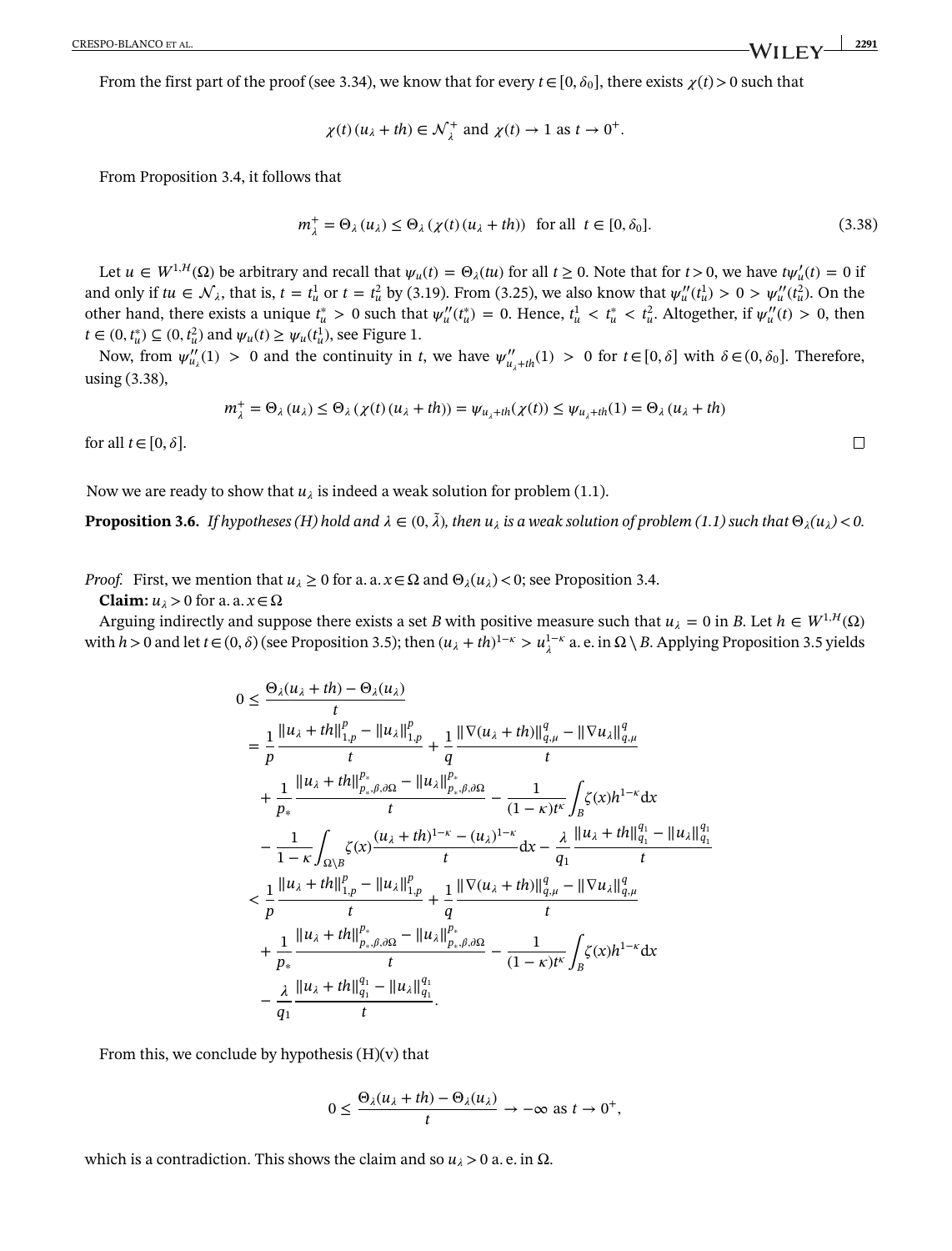From the first part of the proof (see 3.34), we know that for every  $t \in [0, \delta_0]$ , there exists  $\chi(t) > 0$  such that

$$
\chi(t)(u_{\lambda} + th) \in \mathcal{N}_{\lambda}^{+}
$$
 and  $\chi(t) \to 1$  as  $t \to 0^{+}$ .

From Proposition 3.4, it follows that

$$
m_{\lambda}^{+} = \Theta_{\lambda}(u_{\lambda}) \le \Theta_{\lambda}(\chi(t)(u_{\lambda} + th)) \quad \text{for all} \quad t \in [0, \delta_0].
$$
 (3.38)

Let  $u \in W^{1,H}(\Omega)$  be arbitrary and recall that  $\psi_u(t) = \Theta_\lambda(tu)$  for all  $t \ge 0$ . Note that for  $t > 0$ , we have  $t\psi'_u(t) = 0$  if and only if  $t u \in \mathcal{N}_{\lambda}$ , that is,  $t = t_u^1$  or  $t = t_u^2$  by (3.19). From (3.25), we also know that  $\psi_u''(t_u^1) > 0 > \psi_u''(t_u^2)$ . On the other hand, there exists a unique  $t_u^* > 0$  such that  $\psi_u''(t_u^*) = 0$ . Hence,  $t_u^1 < t_u^* < t_u^2$ . Altogether, if  $\psi_u''(t) > 0$ , then *t* ∈ (0,  $t_u^*$ ) ⊆ (0,  $t_u^2$ ) and  $\psi_u(t) \ge \psi_u(t_u^1)$ , see Figure 1.

Now, from  $\psi''_{u_\lambda}(1) > 0$  and the continuity in *t*, we have  $\psi''_{u_\lambda + th}(1) > 0$  for  $t \in [0, \delta]$  with  $\delta \in (0, \delta_0]$ . Therefore, using (3.38),

$$
m_{\lambda}^{+} = \Theta_{\lambda}(u_{\lambda}) \leq \Theta_{\lambda}(\chi(t)(u_{\lambda} + th)) = \psi_{u_{\lambda} + th}(\chi(t)) \leq \psi_{u_{\lambda} + th}(1) = \Theta_{\lambda}(u_{\lambda} + th)
$$

for all  $t \in [0, \delta]$ .

<span id="page-15-0"></span>Now we are ready to show that  $u_i$  is indeed a weak solution for problem (1.1).

**Proposition [3.6.](#page-15-0)** *If hypotheses (H) hold and*  $\lambda \in (0, \tilde{\lambda})$ , then  $u_{\lambda}$  is a weak solution of problem (1.1) such that  $\Theta_{\lambda}(u_{\lambda})$  < 0.

*Proof.* First, we mention that  $u_{\lambda} \ge 0$  for a. a.  $x \in \Omega$  and  $\Theta_{\lambda}(u_{\lambda}) < 0$ ; see Proposition 3.4.

**Claim:**  $u_{\lambda} > 0$  for a. a.  $x \in \Omega$ 

Arguing indirectly and suppose there exists a set *B* with positive measure such that  $u_{\lambda} = 0$  in *B*. Let  $h \in W^{1,H}(\Omega)$ with  $h > 0$  and let  $t \in (0, \delta)$  (see Proposition 3.5); then  $(u_\lambda + th)^{1-\kappa} > u_\lambda^{1-\kappa}$  a. e. in  $\Omega \setminus B$ . Applying Proposition 3.5 yields

$$
0 \leq \frac{\Theta_{\lambda}(u_{\lambda} + th) - \Theta_{\lambda}(u_{\lambda})}{t}
$$
\n
$$
= \frac{1}{p} \frac{\|u_{\lambda} + th\|_{1,p}^{p} - \|u_{\lambda}\|_{1,p}^{p}}{t} + \frac{1}{q} \frac{\|\nabla(u_{\lambda} + th)\|_{q,\mu}^{q} - \|\nabla u_{\lambda}\|_{q,\mu}^{q}}{t}
$$
\n
$$
+ \frac{1}{p_{*}} \frac{\|u_{\lambda} + th\|_{p_{*},\beta,\partial\Omega}^{p_{*}} - \|u_{\lambda}\|_{p_{*},\beta,\partial\Omega}^{p_{*}}}{t} - \frac{1}{(1 - \kappa)t^{k}} \int_{B} \zeta(x)h^{1 - \kappa} dx
$$
\n
$$
- \frac{1}{1 - \kappa} \int_{\Omega \setminus B} \zeta(x) \frac{(u_{\lambda} + th)^{1 - \kappa} - (u_{\lambda})^{1 - \kappa}}{t} dx - \frac{\lambda}{q_{1}} \frac{\|u_{\lambda} + th\|_{q_{1}}^{q_{1}} - \|u_{\lambda}\|_{q_{1}}^{q_{1}}}{t}
$$
\n
$$
< \frac{1}{p} \frac{\|u_{\lambda} + th\|_{1,p}^{p} - \|u_{\lambda}\|_{1,p}^{p}}{t} + \frac{1}{q} \frac{\|\nabla(u_{\lambda} + th)\|_{q,\mu}^{q} - \|\nabla u_{\lambda}\|_{q,\mu}^{q}}{t}
$$
\n
$$
+ \frac{1}{p_{*}} \frac{\|u_{\lambda} + th\|_{p_{*},\beta,\partial\Omega}^{p_{*}} - \|u_{\lambda}\|_{p_{*},\beta,\partial\Omega}^{p_{*}}}{t} - \frac{1}{(1 - \kappa)t^{k}} \int_{B} \zeta(x)h^{1 - \kappa} dx
$$
\n
$$
- \frac{\lambda}{q_{1}} \frac{\|u_{\lambda} + th\|_{q_{1}}^{q_{1}} - \|u_{\lambda}\|_{q_{1}}^{q_{1}}}{t}.
$$

From this, we conclude by hypothesis  $(H)(v)$  that

$$
0 \leq \frac{\Theta_{\lambda}(u_{\lambda} + th) - \Theta_{\lambda}(u_{\lambda})}{t} \to -\infty \text{ as } t \to 0^+,
$$

which is a contradiction. This shows the claim and so  $u<sub>λ</sub> > 0$  a.e. in  $Ω$ .

 $\Box$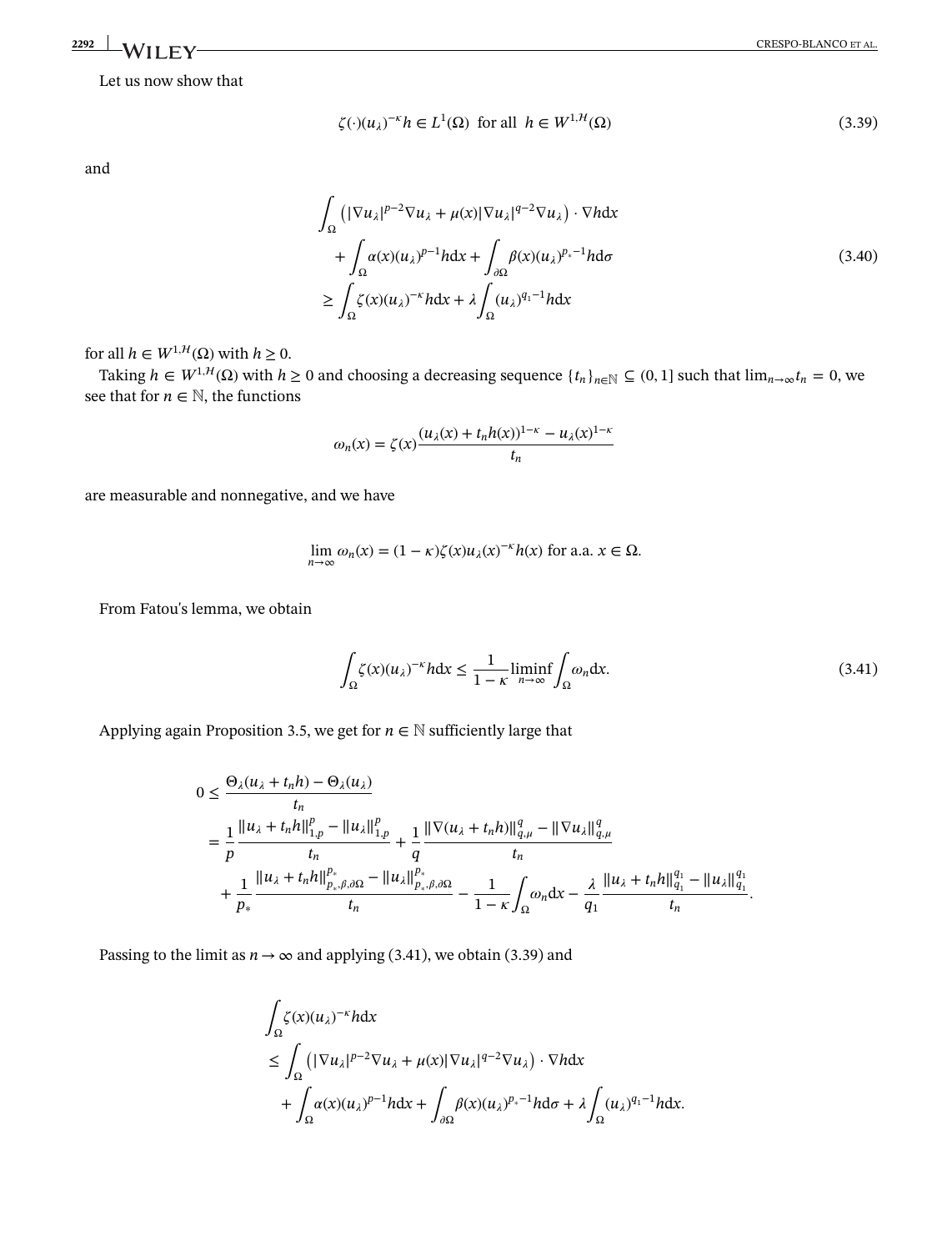# **2292 WII FY** CRESPO-BLANCO ET AL.

Let us now show that

$$
\zeta(\cdot)(u_{\lambda})^{-\kappa}h \in L^{1}(\Omega) \text{ for all } h \in W^{1,\mathcal{H}}(\Omega)
$$
\n(3.39)

and

$$
\int_{\Omega} \left( |\nabla u_{\lambda}|^{p-2} \nabla u_{\lambda} + \mu(x) |\nabla u_{\lambda}|^{q-2} \nabla u_{\lambda} \right) \cdot \nabla h dx \n+ \int_{\Omega} \alpha(x) (u_{\lambda})^{p-1} h dx + \int_{\partial \Omega} \beta(x) (u_{\lambda})^{p_{*}-1} h d\sigma \n\geq \int_{\Omega} \zeta(x) (u_{\lambda})^{-\kappa} h dx + \lambda \int_{\Omega} (u_{\lambda})^{q_{1}-1} h dx
$$
\n(3.40)

for all  $h \in W^{1,H}(\Omega)$  with  $h \geq 0$ .

Taking  $h \in W^{1,H}(\Omega)$  with  $h \ge 0$  and choosing a decreasing sequence  $\{t_n\}_{n \in \mathbb{N}} \subseteq (0,1]$  such that  $\lim_{n\to\infty} t_n = 0$ , we see that for  $n \in \mathbb{N}$ , the functions

$$
\omega_n(x) = \zeta(x) \frac{(u_\lambda(x) + t_n h(x))^{1-\kappa} - u_\lambda(x)^{1-\kappa}}{t_n}
$$

are measurable and nonnegative, and we have

$$
\lim_{n \to \infty} \omega_n(x) = (1 - \kappa) \zeta(x) u_\lambda(x)^{-\kappa} h(x)
$$
 for a.a.  $x \in \Omega$ .

From Fatou's lemma, we obtain

$$
\int_{\Omega} \zeta(x) (u_{\lambda})^{-\kappa} h \, dx \le \frac{1}{1 - \kappa} \liminf_{n \to \infty} \int_{\Omega} \omega_n \, dx. \tag{3.41}
$$

*.*

Applying again Proposition 3.5, we get for  $n \in \mathbb{N}$  sufficiently large that

$$
0 \leq \frac{\Theta_{\lambda}(u_{\lambda} + t_{n}h) - \Theta_{\lambda}(u_{\lambda})}{t_{n}} \\
= \frac{1}{p} \frac{\|u_{\lambda} + t_{n}h\|_{1,p}^{p} - \|u_{\lambda}\|_{1,p}^{p}}{t_{n}} + \frac{1}{q} \frac{\|\nabla(u_{\lambda} + t_{n}h)\|_{q,\mu}^{q} - \|\nabla u_{\lambda}\|_{q,\mu}^{q}}{t_{n}} \\
+ \frac{1}{p_{*}} \frac{\|u_{\lambda} + t_{n}h\|_{p_{*},\beta,\partial\Omega}^{p_{*}} - \|u_{\lambda}\|_{p_{*},\beta,\partial\Omega}^{p_{*}}}{t_{n}} - \frac{1}{1 - \kappa} \int_{\Omega} \omega_{n} dx - \frac{\lambda}{q_{1}} \frac{\|u_{\lambda} + t_{n}h\|_{q_{1}}^{q_{1}} - \|u_{\lambda}\|_{q_{1}}^{q_{1}}}{t_{n}}
$$

Passing to the limit as  $n \rightarrow \infty$  and applying (3.41), we obtain (3.39) and

$$
\int_{\Omega} \zeta(x)(u_{\lambda})^{-\kappa} h \, dx
$$
\n
$$
\leq \int_{\Omega} \left( |\nabla u_{\lambda}|^{p-2} \nabla u_{\lambda} + \mu(x) |\nabla u_{\lambda}|^{q-2} \nabla u_{\lambda} \right) \cdot \nabla h \, dx
$$
\n
$$
+ \int_{\Omega} \alpha(x)(u_{\lambda})^{p-1} h \, dx + \int_{\partial \Omega} \beta(x)(u_{\lambda})^{p_{*}-1} h \, d\sigma + \lambda \int_{\Omega} (u_{\lambda})^{q_{1}-1} h \, dx.
$$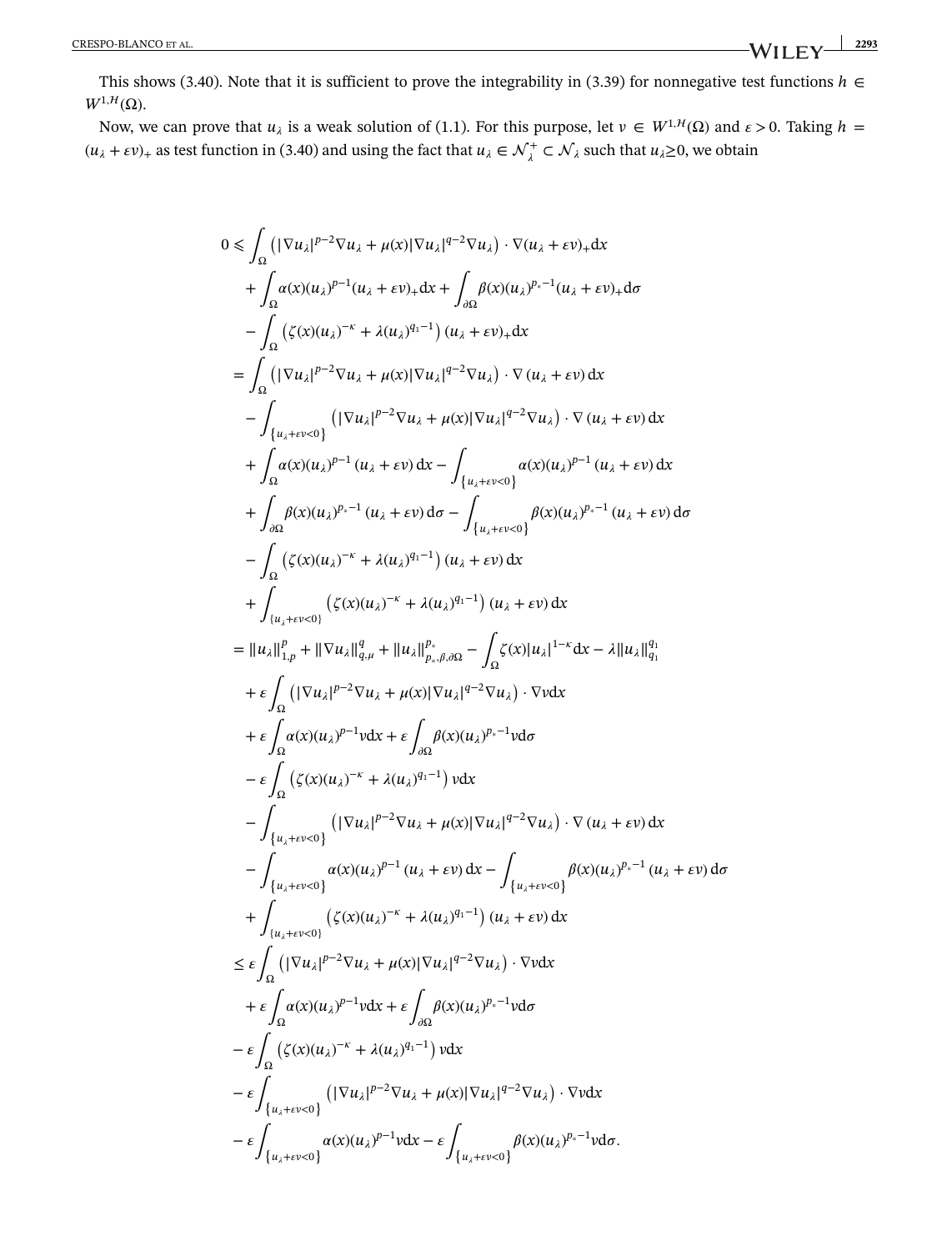This shows (3.40). Note that it is sufficient to prove the integrability in (3.39) for nonnegative test functions  $h \in$  $W^{1, \mathcal{H}}(\Omega)$ .

Now, we can prove that  $u_{\lambda}$  is a weak solution of (1.1). For this purpose, let  $v \in W^{1,H}(\Omega)$  and  $\varepsilon > 0$ . Taking  $h =$  $(u_{\lambda} + \varepsilon v)_{+}$  as test function in (3.40) and using the fact that  $u_{\lambda} \in \mathcal{N}_{\lambda}^{+} \subset \mathcal{N}_{\lambda}$  such that  $u_{\lambda} \ge 0$ , we obtain

$$
0 \leq \int_{\Omega} \left( |\nabla u_{\lambda}|^{p-2} \nabla u_{\lambda} + \mu(x) |\nabla u_{\lambda}|^{q-2} \nabla u_{\lambda} \right) \cdot \nabla (u_{\lambda} + \varepsilon v)_{+} dx + \int_{\Omega} a(x)(u_{\lambda})^{p-1} (u_{\lambda} + \varepsilon v)_{+} dx + \int_{\partial\Omega} \beta(x)(u_{\lambda})^{p,-1} (u_{\lambda} + \varepsilon v)_{+} d\sigma - \int_{\Omega} \left( \zeta(x)(u_{\lambda})^{-\kappa} + \lambda(u_{\lambda})^{q_{1}-1} \right) (u_{\lambda} + \varepsilon v)_{+} dx = \int_{\Omega} \left( |\nabla u_{\lambda}|^{p-2} \nabla u_{\lambda} + \mu(x) |\nabla u_{\lambda}|^{q-2} \nabla u_{\lambda} \right) \cdot \nabla (u_{\lambda} + \varepsilon v) dx - \int_{\{u_{\lambda} + \varepsilon v < 0\}} \left( |\nabla u_{\lambda}|^{p-1} (u_{\lambda} + \varepsilon v) dx - \int_{\{u_{\lambda} + \varepsilon v < 0\}} a(x)(u_{\lambda})^{p-1} (u_{\lambda} + \varepsilon v) dx + \int_{\partial\Omega} \beta(x)(u_{\lambda})^{p-1} (u_{\lambda} + \varepsilon v) dx - \int_{\{u_{\lambda} + \varepsilon v < 0\}} a(x)(u_{\lambda})^{p-1} (u_{\lambda} + \varepsilon v) dx + \int_{\partial\Omega} \left( \zeta(x)(u_{\lambda})^{-\kappa} + \lambda(u_{\lambda})^{q_{1}-1} \right) (u_{\lambda} + \varepsilon v) dx + \int_{\{u_{\lambda} + \varepsilon v < 0\}} \left( \zeta(x)(u_{\lambda})^{-\kappa} + \lambda(u_{\lambda})^{q_{1}-1} \right) (u_{\lambda} + \varepsilon v) dx + \int_{\{u_{\lambda} + \varepsilon v < 0\}} \left( \zeta(x)(u_{\lambda})^{-\kappa} + \lambda(u_{\lambda})^{q_{1}-1} \right) (u_{\lambda} + \varepsilon v) dx + \varepsilon \int_{\Omega} \left( \zeta(x)(u_{\lambda})^{-\kappa} + \lambda(u_{\lambda})
$$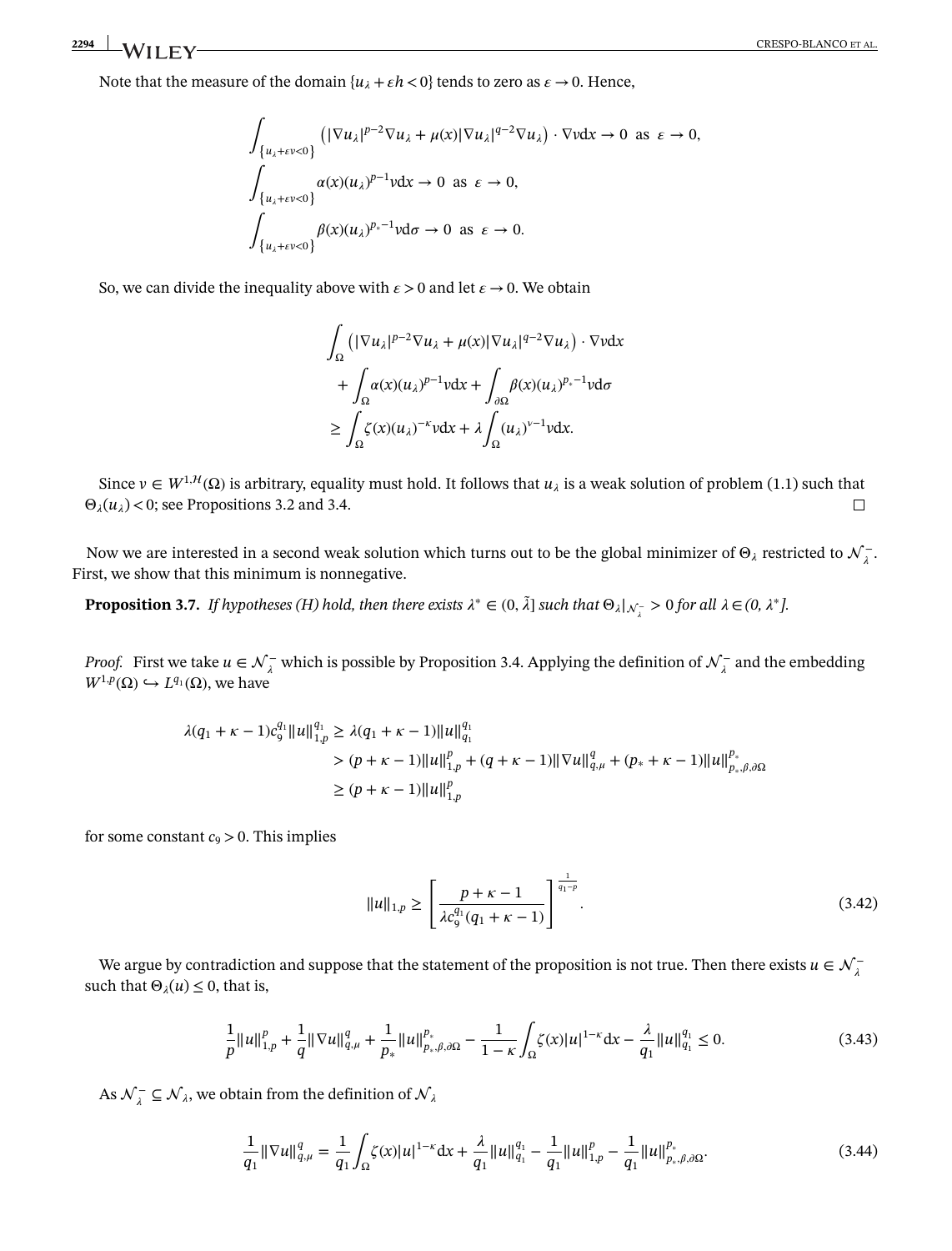Note that the measure of the domain  $\{u_i + \varepsilon h < 0\}$  tends to zero as  $\varepsilon \to 0$ . Hence,

$$
\int_{\{u_{\lambda}+\epsilon v<0\}} (|\nabla u_{\lambda}|^{p-2} \nabla u_{\lambda} + \mu(x)|\nabla u_{\lambda}|^{q-2} \nabla u_{\lambda}) \cdot \nabla v dx \to 0 \text{ as } \epsilon \to 0,
$$
  

$$
\int_{\{u_{\lambda}+\epsilon v<0\}} \alpha(x)(u_{\lambda})^{p-1} v dx \to 0 \text{ as } \epsilon \to 0,
$$
  

$$
\int_{\{u_{\lambda}+\epsilon v<0\}} \beta(x)(u_{\lambda})^{p_{\ast}-1} v d\sigma \to 0 \text{ as } \epsilon \to 0.
$$

So, we can divide the inequality above with  $\epsilon > 0$  and let  $\epsilon \to 0$ . We obtain

$$
\int_{\Omega} \left( |\nabla u_{\lambda}|^{p-2} \nabla u_{\lambda} + \mu(x) |\nabla u_{\lambda}|^{q-2} \nabla u_{\lambda} \right) \cdot \nabla v dx
$$

$$
+ \int_{\Omega} \alpha(x) (u_{\lambda})^{p-1} v dx + \int_{\partial \Omega} \beta(x) (u_{\lambda})^{p_{*}-1} v d\sigma
$$

$$
\geq \int_{\Omega} \zeta(x) (u_{\lambda})^{-\kappa} v dx + \lambda \int_{\Omega} (u_{\lambda})^{v-1} v dx.
$$

Since  $v \in W^{1,H}(\Omega)$  is arbitrary, equality must hold. It follows that  $u_{\lambda}$  is a weak solution of problem (1.1) such that  $\Theta_{\lambda}(u_{\lambda})$  < 0; see Propositions 3.2 and 3.4.  $\Box$ 

<span id="page-18-0"></span>Now we are interested in a second weak solution which turns out to be the global minimizer of  $\Theta_\lambda$  restricted to  $\mathcal{N}^-_\lambda$ . First, we show that this minimum is nonnegative.

**Proposition [3.7.](#page-18-0)** *If hypotheses (H) hold, then there exists*  $\lambda^* \in (0, \tilde{\lambda}]$  *such that*  $\Theta_{\lambda}|_{\mathcal{N}^-_{\lambda}} > 0$  for all  $\lambda \in (0, \lambda^*]$ .

*Proof.* First we take  $u \in \mathcal{N}^-_\lambda$  which is possible by Proposition 3.4. Applying the definition of  $\mathcal{N}^-_\lambda$  and the embedding  $W^{1,p}(\Omega) \hookrightarrow L^{q_1}(\Omega)$ , we have

$$
\lambda(q_1 + \kappa - 1)c_9^{q_1} ||u||_{1,p}^{q_1} \ge \lambda(q_1 + \kappa - 1) ||u||_{q_1}^{q_1}
$$
  
> 
$$
(p + \kappa - 1) ||u||_{1,p}^p + (q + \kappa - 1) ||\nabla u||_{q,\mu}^q + (p_* + \kappa - 1) ||u||_{p_*,\beta,\partial\Omega}^{p_*}
$$
  

$$
\ge (p + \kappa - 1) ||u||_{1,p}^p
$$

for some constant  $c_9 > 0$ . This implies

$$
||u||_{1,p} \ge \left[\frac{p+\kappa-1}{\lambda c_9^{q_1}(q_1+\kappa-1)}\right]^{\frac{1}{q_1-p}}.\tag{3.42}
$$

We argue by contradiction and suppose that the statement of the proposition is not true. Then there exists  $u \in \mathcal{N}^-_\lambda$ such that  $\Theta_{\lambda}(u) \leq 0$ , that is,

$$
\frac{1}{p}||u||_{1,p}^p + \frac{1}{q}||\nabla u||_{q,\mu}^q + \frac{1}{p_*}||u||_{p_*,\beta,\partial\Omega}^{p_*} - \frac{1}{1-\kappa} \int_{\Omega} \zeta(x)|u|^{1-\kappa} dx - \frac{\lambda}{q_1}||u||_{q_1}^{q_1} \le 0.
$$
\n(3.43)

As  $\mathcal{N}_{\lambda}^{-} \subseteq \mathcal{N}_{\lambda}$ , we obtain from the definition of  $\mathcal{N}_{\lambda}$ 

$$
\frac{1}{q_1} \|\nabla u\|_{q,\mu}^q = \frac{1}{q_1} \int_{\Omega} \zeta(x) |u|^{1-\kappa} dx + \frac{\lambda}{q_1} \|u\|_{q_1}^{q_1} - \frac{1}{q_1} \|u\|_{1,p}^p - \frac{1}{q_1} \|u\|_{p_*,\beta,\partial\Omega}^{p_*}.
$$
\n(3.44)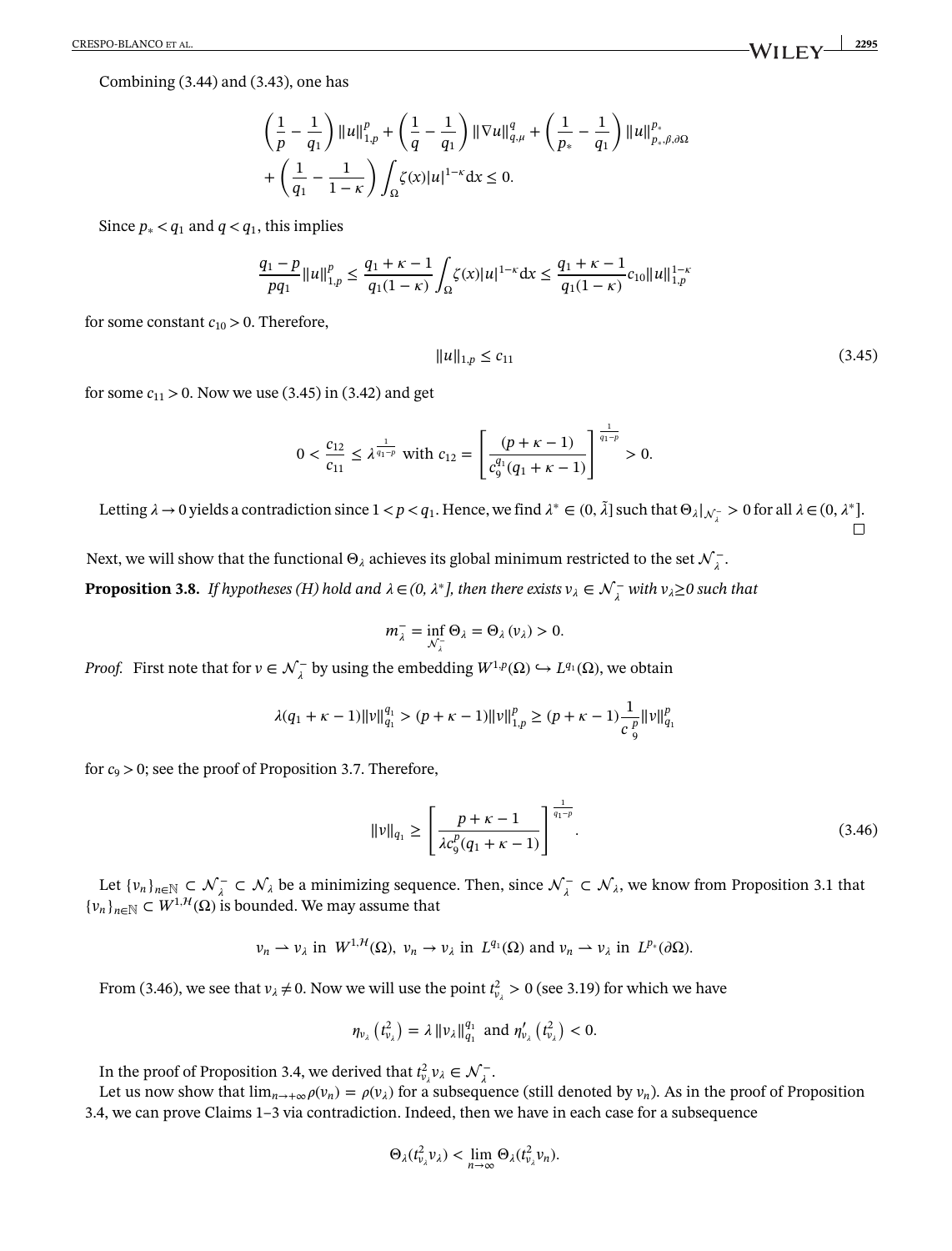CRESPO-BLANCO ET AL. **2295**

Combining (3.44) and (3.43), one has

$$
\left(\frac{1}{p} - \frac{1}{q_1}\right) ||u||_{1,p}^p + \left(\frac{1}{q} - \frac{1}{q_1}\right) ||\nabla u||_{q,\mu}^q + \left(\frac{1}{p_*} - \frac{1}{q_1}\right) ||u||_{p_*,\beta,\partial\Omega}^{p_*}
$$

$$
+ \left(\frac{1}{q_1} - \frac{1}{1-\kappa}\right) \int_{\Omega} \zeta(x) |u|^{1-\kappa} dx \le 0.
$$

Since  $p_* < q_1$  and  $q < q_1$ , this implies

$$
\frac{q_1 - p}{pq_1} ||u||_{1,p}^p \le \frac{q_1 + \kappa - 1}{q_1(1 - \kappa)} \int_{\Omega} \zeta(x) |u|^{1 - \kappa} dx \le \frac{q_1 + \kappa - 1}{q_1(1 - \kappa)} c_{10} ||u||_{1,p}^{1 - \kappa}
$$

for some constant  $c_{10} > 0$ . Therefore,

$$
||u||_{1,p} \le c_{11} \tag{3.45}
$$

for some  $c_{11} > 0$ . Now we use (3.45) in (3.42) and get

$$
0 < \frac{c_{12}}{c_{11}} \le \lambda^{\frac{1}{q_1-p}} \text{ with } c_{12} = \left[ \frac{(p+\kappa-1)}{c_9^{q_1}(q_1+\kappa-1)} \right]^{\frac{1}{q_1-p}} > 0.
$$

Letting  $\lambda \to 0$  yields a contradiction since  $1 < p < q_1$ . Hence, we find  $\lambda^* \in (0, \tilde{\lambda}]$  such that  $\Theta_{\lambda}|_{\mathcal{N}^-_{\lambda}} > 0$  for all  $\lambda \in (0, \lambda^*]$ .

<span id="page-19-0"></span>Next, we will show that the functional  $\Theta_\lambda$  achieves its global minimum restricted to the set  $\mathcal{N}^-_\lambda$ .

**Proposition [3.8.](#page-19-0)** *If hypotheses (H) hold and*  $\lambda \in (0, \lambda^*]$ , then there exists  $v_\lambda \in \mathcal{N}^-_\lambda$  with  $v_\lambda \ge 0$  such that

$$
m_{\lambda}^{-} = \inf_{\mathcal{N}_{\lambda}^{-}} \Theta_{\lambda} = \Theta_{\lambda}(\nu_{\lambda}) > 0.
$$

*Proof.* First note that for  $v \in \mathcal{N}^-_\lambda$  by using the embedding  $W^{1,p}(\Omega) \hookrightarrow L^{q_1}(\Omega)$ , we obtain

$$
\lambda(q_1 + \kappa - 1) ||v||_{q_1}^{q_1} > (p + \kappa - 1) ||v||_{1,p}^p \ge (p + \kappa - 1) \frac{1}{c_{\vartheta}^p} ||v||_{q_1}^p
$$

for  $c_9 > 0$ ; see the proof of Proposition 3.7. Therefore,

$$
||v||_{q_1} \ge \left[\frac{p+\kappa-1}{\lambda c_9^p(q_1+\kappa-1)}\right]^{\frac{1}{q_1-p}}.\tag{3.46}
$$

Let  $\{v_n\}_{n\in\mathbb{N}} \subset \mathcal{N}_\lambda^- \subset \mathcal{N}_\lambda$  be a minimizing sequence. Then, since  $\mathcal{N}_\lambda^- \subset \mathcal{N}_\lambda$ , we know from Proposition 3.1 that  ${v_n}_{n \in \mathbb{N}} \subset W^{1, \mathcal{H}}(\Omega)$  is bounded. We may assume that

$$
\nu_n \rightharpoonup \nu_\lambda
$$
 in  $W^{1,H}(\Omega)$ ,  $\nu_n \rightharpoonup \nu_\lambda$  in  $L^{q_1}(\Omega)$  and  $\nu_n \rightharpoonup \nu_\lambda$  in  $L^{p_*}(\partial\Omega)$ .

From (3.46), we see that  $v_{\lambda} \neq 0$ . Now we will use the point  $t_{v_{\lambda}}^2 > 0$  (see 3.19) for which we have

$$
\eta_{\nu_{\lambda}}\left(t_{\nu_{\lambda}}^{2}\right)=\lambda\left\Vert \nu_{\lambda}\right\Vert _{q_{1}}^{q_{1}} \text{ and } \eta_{\nu_{\lambda}}'\left(t_{\nu_{\lambda}}^{2}\right)<0.
$$

In the proof of Proposition 3.4, we derived that  $t_{\nu_\lambda}^2 \nu_\lambda \in \mathcal{N}_\lambda^-$ .

Let us now show that  $\lim_{n\to+\infty}\rho(v_n) = \rho(v_\lambda)$  for a subsequence (still denoted by  $v_n$ ). As in the proof of Proposition 3.4, we can prove Claims 1–3 via contradiction. Indeed, then we have in each case for a subsequence

$$
\Theta_{\lambda}(t_{\nu_{\lambda}}^{2}\nu_{\lambda}) < \lim_{n\to\infty}\Theta_{\lambda}(t_{\nu_{\lambda}}^{2}\nu_{n}).
$$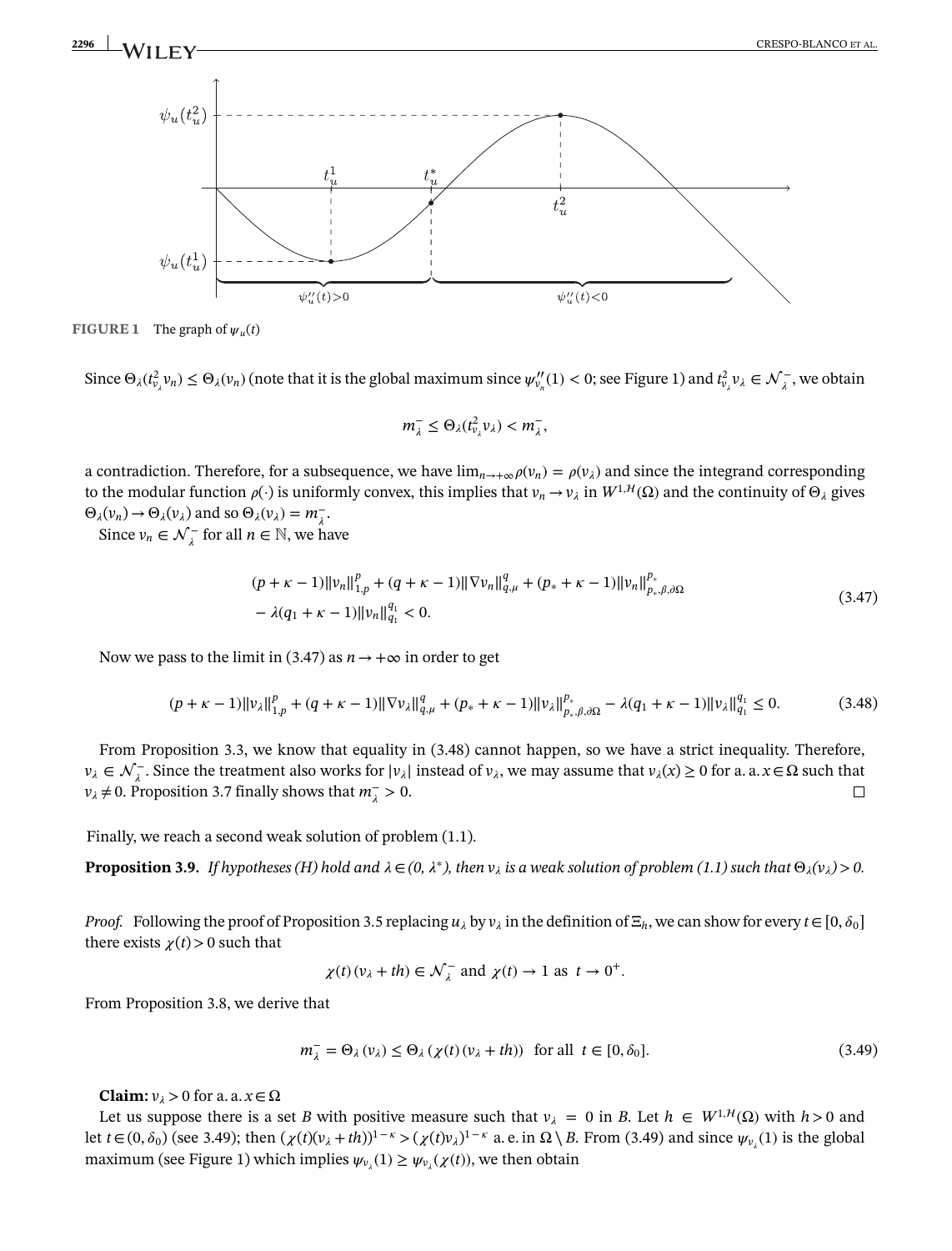

**FIGURE 1** The graph of  $\psi_u(t)$ 

Since  $\Theta_{\lambda}(t_{\nu_\lambda}^2 v_n) \leq \Theta_{\lambda}(v_n)$  (note that it is the global maximum since  $\psi_{v_n}''(1) < 0$ ; see Figure 1) and  $t_{v_\lambda}^2 v_\lambda \in \mathcal{N}_\lambda^-$ , we obtain

$$
m_{\lambda}^- \leq \Theta_{\lambda}(t_{\nu_{\lambda}}^2 \nu_{\lambda}) < m_{\lambda}^-,
$$

a contradiction. Therefore, for a subsequence, we have  $\lim_{n\to+\infty}\rho(v_n) = \rho(v_\lambda)$  and since the integrand corresponding to the modular function  $\rho(\cdot)$  is uniformly convex, this implies that  $v_n \to v_\lambda$  in  $W^{1,H}(\Omega)$  and the continuity of  $\Theta_\lambda$  gives  $\Theta_{\lambda}(v_n) \to \Theta_{\lambda}(v_{\lambda})$  and so  $\Theta_{\lambda}(v_{\lambda}) = m_{\lambda}^{-}$ .

Since  $v_n \in \mathcal{N}_\lambda^-$  for all  $n \in \mathbb{N}$ , we have

$$
(p + \kappa - 1) ||v_n||_{1,p}^p + (q + \kappa - 1) ||\nabla v_n||_{q,\mu}^q + (p_* + \kappa - 1) ||v_n||_{p_*,\beta,\partial\Omega}^{p_*}
$$
  

$$
- \lambda (q_1 + \kappa - 1) ||v_n||_{q_1}^{q_1} < 0.
$$
 (3.47)

Now we pass to the limit in (3.47) as  $n \to +\infty$  in order to get

$$
(p + \kappa - 1) ||v_{\lambda}||_{1, p}^{p} + (q + \kappa - 1) ||\nabla v_{\lambda}||_{q, \mu}^{q} + (p_{*} + \kappa - 1) ||v_{\lambda}||_{p_{*}, \beta, \partial\Omega}^{p_{*}} - \lambda(q_{1} + \kappa - 1) ||v_{\lambda}||_{q_{1}}^{q_{1}} \leq 0.
$$
 (3.48)

From Proposition 3.3, we know that equality in (3.48) cannot happen, so we have a strict inequality. Therefore, *v*<sub> $\lambda$ </sub> ∈  $\mathcal{N}^-$ . Since the treatment also works for  $|v_{\lambda}|$  instead of *v*<sub> $\lambda$ </sub>, we may assume that  $v_{\lambda}(x) \ge 0$  for a. a.  $x \in \Omega$  such that *v*<sub> $λ$  ≠ 0. Proposition 3.7 finally shows that  $m_{\lambda}^- > 0$ .

<span id="page-20-0"></span>Finally, we reach a second weak solution of problem (1.1).

**Proposition [3.9.](#page-20-0)** *If hypotheses (H) hold and*  $\lambda \in (0, \lambda^*)$ , then  $v_\lambda$  is a weak solution of problem (1.1) such that  $\Theta_\lambda(v_\lambda) > 0$ .

*Proof.* Following the proof of Proposition 3.5 replacing  $u_\lambda$  by  $v_\lambda$  in the definition of  $\Xi_h$ , we can show for every  $t \in [0, \delta_0]$ there exists  $\chi(t) > 0$  such that

$$
\chi(t)(v_{\lambda} + th) \in \mathcal{N}_{\lambda}^{-}
$$
 and  $\chi(t) \to 1$  as  $t \to 0^{+}$ .

From Proposition 3.8, we derive that

$$
m_{\lambda}^- = \Theta_{\lambda}(v_{\lambda}) \le \Theta_{\lambda}(\chi(t)(v_{\lambda} + th)) \quad \text{for all} \quad t \in [0, \delta_0]. \tag{3.49}
$$

**Claim:**  $v_1 > 0$  for a. a.  $x \in \Omega$ 

Let us suppose there is a set *B* with positive measure such that  $v_{\lambda} = 0$  in *B*. Let  $h \in W^{1,H}(\Omega)$  with  $h > 0$  and let  $t \in (0, \delta_0)$  (see 3.49); then  $(\chi(t)(v_\lambda + th))^{1-\kappa} > (\chi(t)v_\lambda)^{1-\kappa}$  a.e. in  $\Omega \setminus B$ . From (3.49) and since  $\psi_{v_\lambda}(1)$  is the global maximum (see Figure 1) which implies  $\psi_{\nu}$  (1)  $\geq \psi_{\nu}$  ( $\chi(t)$ ), we then obtain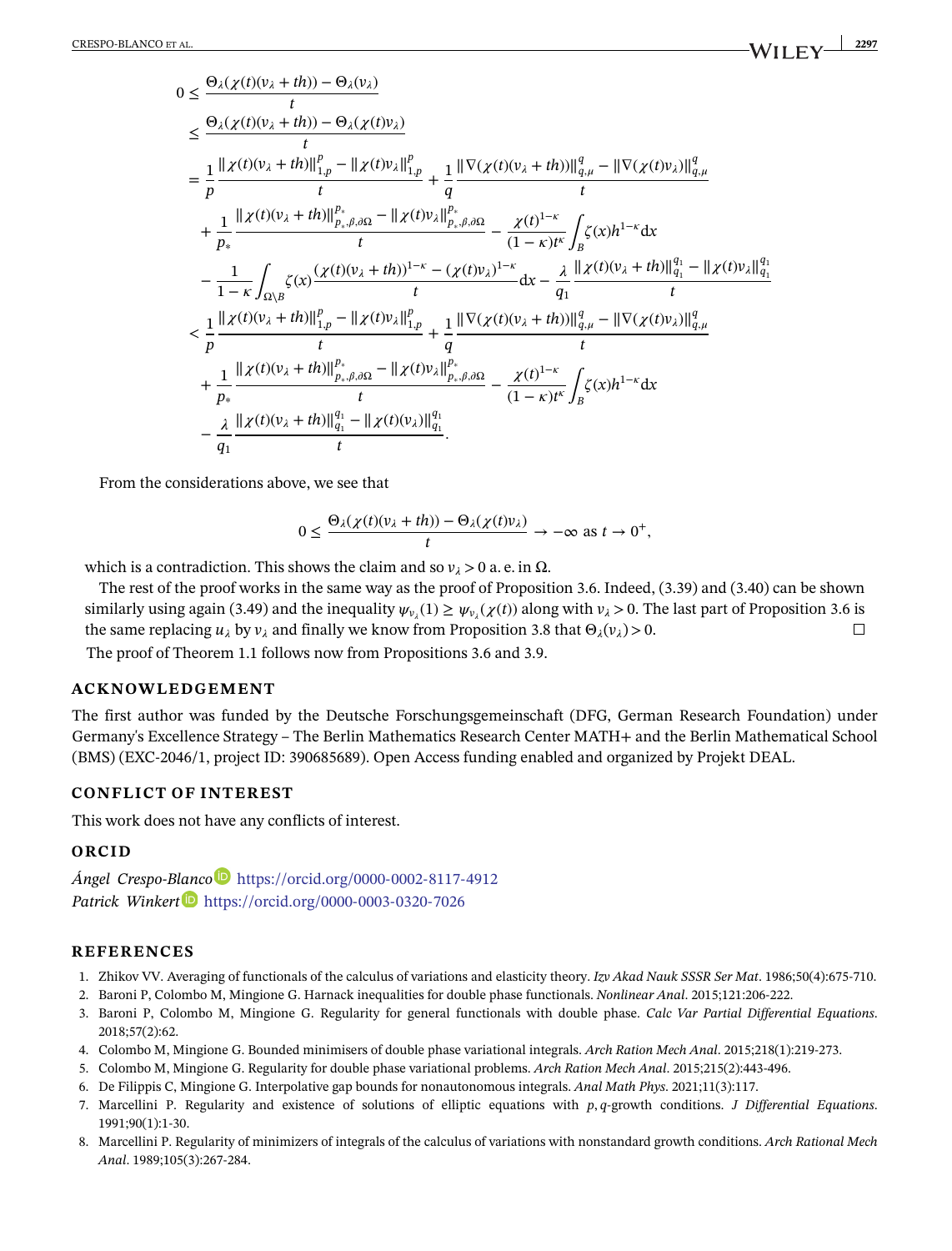$$
0 \leq \frac{\Theta_{\lambda}(\chi(t)(v_{\lambda} + th)) - \Theta_{\lambda}(v_{\lambda})}{t}
$$
  
\n
$$
\leq \frac{\Theta_{\lambda}(\chi(t)(v_{\lambda} + th)) - \Theta_{\lambda}(\chi(t)v_{\lambda})}{t}
$$
  
\n
$$
= \frac{1}{p} \frac{\| \chi(t)(v_{\lambda} + th) \|_{1,p}^{p} - \| \chi(t)v_{\lambda} \|_{1,p}^{p}}{t} + \frac{1}{q} \frac{\| \nabla(\chi(t)(v_{\lambda} + th)) \|_{q,\mu}^{q} - \| \nabla(\chi(t)v_{\lambda}) \|_{q,\mu}^{q}}{t}
$$
  
\n
$$
+ \frac{1}{p_{*}} \frac{\| \chi(t)(v_{\lambda} + th) \|_{p_{*},\beta,\partial\Omega}^{p} - \| \chi(t)v_{\lambda} \|_{p_{*},\beta,\partial\Omega}^{p}}{t} - \frac{\chi(t)^{1-\kappa}}{(1-\kappa)t^{\kappa}} \int_{B} \zeta(x)h^{1-\kappa} dx
$$
  
\n
$$
- \frac{1}{1-\kappa} \int_{\Omega\setminus B} \zeta(x) \frac{(\chi(t)(v_{\lambda} + th))^{1-\kappa} - (\chi(t)v_{\lambda})^{1-\kappa}}{t} dx - \frac{\lambda}{q_{1}} \frac{\| \chi(t)(v_{\lambda} + th) \|_{q_{1}}^{q} - \| \chi(t)v_{\lambda} \|_{q_{1}}^{q}}{t}
$$
  
\n
$$
< \frac{1}{p} \frac{\| \chi(t)(v_{\lambda} + th) \|_{1,p}^{p} - \| \chi(t)v_{\lambda} \|_{1,p}^{p}}{t} + \frac{1}{q} \frac{\| \nabla(\chi(t)(v_{\lambda} + th)) \|_{q,\mu}^{q} - \| \nabla(\chi(t)v_{\lambda}) \|_{q,\mu}^{q}}{t}
$$
  
\n
$$
+ \frac{1}{p_{*}} \frac{\| \chi(t)(v_{\lambda} + th) \|_{p_{*},\beta,\partial\Omega}^{p} - \| \chi(t)v_{\lambda} \|_{p_{*},\beta,\partial\Omega}^{q_{1}}}{t} - \frac{\chi(t)^{1-\kappa}}{(1-\kappa)t^{\kappa}} \int_{B} \zeta(x)h^{1-\kappa} dx
$$
  
\n
$$
- \frac{\lambda}{q_{1}} \frac{\| \chi(t)(v
$$

From the considerations above, we see that

$$
0 \le \frac{\Theta_{\lambda}(\chi(t)(v_{\lambda} + th)) - \Theta_{\lambda}(\chi(t)v_{\lambda})}{t} \to -\infty \text{ as } t \to 0^+,
$$

which is a contradiction. This shows the claim and so  $v_{\lambda} > 0$  a. e. in  $\Omega$ .

The rest of the proof works in the same way as the proof of Proposition 3.6. Indeed, (3.39) and (3.40) can be shown similarly using again (3.49) and the inequality  $\psi_{v_1}(1) \ge \psi_{v_1}(\chi(t))$  along with  $v_\lambda > 0$ . The last part of Proposition 3.6 is the same replacing  $u_{\lambda}$  by  $v_{\lambda}$  and finally we know from Proposition 3.8 that  $\Theta_{\lambda}(v_{\lambda}) > 0$ .  $\Box$ 

The proof of Theorem 1.1 follows now from Propositions 3.6 and 3.9.

# **ACKNOWLEDGEMENT**

The first author was funded by the Deutsche Forschungsgemeinschaft (DFG, German Research Foundation) under Germany's Excellence Strategy – The Berlin Mathematics Research Center MATH+ and the Berlin Mathematical School (BMS) (EXC-2046/1, project ID: 390685689). Open Access funding enabled and organized by Projekt DEAL.

# **CONFLICT OF INTEREST**

This work does not have any conflicts of interest.

### **ORCID**

*Ángel Crespo-B[lanc](https://orcid.org/0000-0003-0320-7026)[o](https://orcid.org/0000-0002-8117-4912)* <https://orcid.org/0000-0002-8117-4912> *Patrick Winkert* <https://orcid.org/0000-0003-0320-7026>

### **REFERENCES**

- 1. Zhikov VV. Averaging of functionals of the calculus of variations and elasticity theory. *Izv Akad Nauk SSSR Ser Mat*. 1986;50(4):675-710.
- 2. Baroni P, Colombo M, Mingione G. Harnack inequalities for double phase functionals. *Nonlinear Anal*. 2015;121:206-222.
- 3. Baroni P, Colombo M, Mingione G. Regularity for general functionals with double phase. *Calc Var Partial Differential Equations*. 2018;57(2):62.
- 4. Colombo M, Mingione G. Bounded minimisers of double phase variational integrals. *Arch Ration Mech Anal*. 2015;218(1):219-273.
- 5. Colombo M, Mingione G. Regularity for double phase variational problems. *Arch Ration Mech Anal*. 2015;215(2):443-496.
- 6. De Filippis C, Mingione G. Interpolative gap bounds for nonautonomous integrals. *Anal Math Phys*. 2021;11(3):117.
- 7. Marcellini P. Regularity and existence of solutions of elliptic equations with *p*, *q*-growth conditions. *J Differential Equations*. 1991;90(1):1-30.
- 8. Marcellini P. Regularity of minimizers of integrals of the calculus of variations with nonstandard growth conditions. *Arch Rational Mech Anal*. 1989;105(3):267-284.